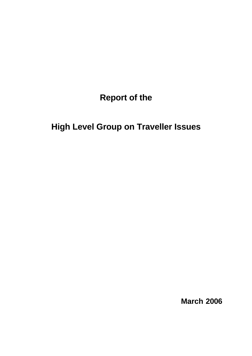**Report of the** 

**High Level Group on Traveller Issues**

**March 2006**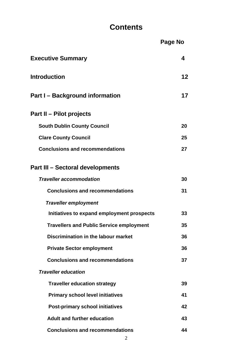# **Contents**

|                                                 | Page No |
|-------------------------------------------------|---------|
| <b>Executive Summary</b>                        | 4       |
| <b>Introduction</b>                             | 12      |
| <b>Part I-Background information</b>            | 17      |
| <b>Part II – Pilot projects</b>                 |         |
| <b>South Dublin County Council</b>              | 20      |
| <b>Clare County Council</b>                     | 25      |
| <b>Conclusions and recommendations</b>          | 27      |
| Part III – Sectoral developments                |         |
| <b>Traveller accommodation</b>                  | 30      |
| <b>Conclusions and recommendations</b>          | 31      |
| <b>Traveller employment</b>                     |         |
| Initiatives to expand employment prospects      | 33      |
| <b>Travellers and Public Service employment</b> | 35      |
| Discrimination in the labour market             | 36      |
| <b>Private Sector employment</b>                | 36      |
| <b>Conclusions and recommendations</b>          | 37      |
| <b>Traveller education</b>                      |         |
| <b>Traveller education strategy</b>             | 39      |
| <b>Primary school level initiatives</b>         | 41      |
| <b>Post-primary school initiatives</b>          | 42      |
| <b>Adult and further education</b>              | 43      |
| <b>Conclusions and recommendations</b>          | 44      |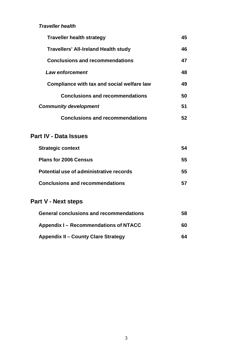# *Traveller health*

| <b>Traveller health strategy</b>            | 45 |
|---------------------------------------------|----|
| <b>Travellers' All-Ireland Health study</b> | 46 |
| <b>Conclusions and recommendations</b>      | 47 |
| Law enforcement                             | 48 |
| Compliance with tax and social welfare law  | 49 |
| <b>Conclusions and recommendations</b>      | 50 |
| <b>Community development</b>                | 51 |
| <b>Conclusions and recommendations</b>      | 52 |

# **Part IV - Data Issues**

| <b>Strategic context</b>                | 54 |
|-----------------------------------------|----|
| <b>Plans for 2006 Census</b>            | 55 |
| Potential use of administrative records | 55 |
| <b>Conclusions and recommendations</b>  |    |

# **Part V - Next steps**

| <b>General conclusions and recommendations</b> | 58 |
|------------------------------------------------|----|
| Appendix I – Recommendations of NTACC          | 60 |
| <b>Appendix II – County Clare Strategy</b>     | 64 |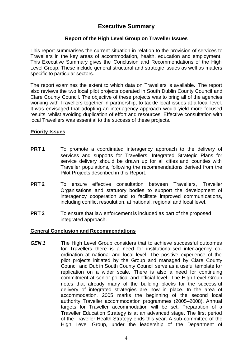# **Executive Summary**

# **Report of the High Level Group on Traveller Issues**

This report summarises the current situation in relation to the provision of services to Travellers in the key areas of accommodation, health, education and employment. This Executive Summary gives the Conclusion and Recommendations of the High Level Group. These include general structural and strategic issues as well as matters specific to particular sectors.

The report examines the extent to which data on Travellers is available. The report also reviews the two local pilot projects operated in South Dublin County Council and Clare County Council. The objective of these projects was to bring all of the agencies working with Travellers together in partnership, to tackle local issues at a local level. It was envisaged that adopting an inter-agency approach would yield more focused results, whilst avoiding duplication of effort and resources. Effective consultation with local Travellers was essential to the success of these projects.

## **Priority Issues**

- **PRT 1** To promote a coordinated interagency approach to the delivery of services and supports for Travellers. Integrated Strategic Plans for service delivery should be drawn up for all cities and counties with Traveller populations, following the recommendations derived from the Pilot Projects described in this Report.
- **PRT 2** To ensure effective consultation between Travellers. Traveller Organisations and statutory bodies to support the development of interagency cooperation and to facilitate improved communications, including conflict resoulution, at national, regional and local level.
- **PRT 3** To ensure that law enforcement is included as part of the proposed integrated approach.

#### **General Conclusion and Recommendations**

**GEN 1** The High Level Group considers that to achieve successful outcomes for Travellers there is a need for institutionalised inter-agency coordination at national and local level. The positive experience of the pilot projects initiated by the Group and managed by Clare County Council and Dublin South County Council serve as a useful template for replication on a wider scale. There is also a need for continuing commitment at senior political and official level. The High Level Group notes that already many of the building blocks for the successful delivery of integrated strategies are now in place. In the area of accommodation, 2005 marks the beginning of the second local authority Traveller accommodation programmes (2005–2008). Annual targets for Traveller accommodation will be set. Preparation of a Traveller Education Strategy is at an advanced stage. The first period of the Traveller Health Strategy ends this year. A sub-committee of the High Level Group, under the leadership of the Department of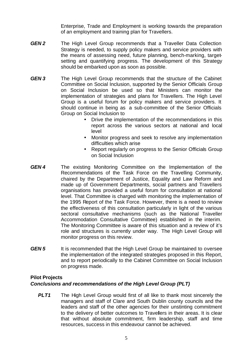Enterprise, Trade and Employment is working towards the preparation of an employment and training plan for Travellers.

- *GEN 2* The High Level Group recommends that a Traveller Data Collection Strategy is needed, to supply policy makers and service providers with the means of assessing need, future planning, bench-marking, targetsetting and quantifying progress. The development of this Strategy should be embarked upon as soon as possible.
- *GEN 3* The High Level Group recommends that the structure of the Cabinet Committee on Social Inclusion, supported by the Senior Officials Group on Social Inclusion be used so that Ministers can monitor the implementation of strategies and plans for Travellers. The High Level Group is a useful forum for policy makers and service providers. It should continue in being as a sub-committee of the Senior Officials Group on Social Inclusion to
	- Drive the implementation of the recommendations in this report across the various sectors at national and local level
	- Monitor progress and seek to resolve any implementation difficulties which arise
	- Report regularly on progress to the Senior Officials Group on Social Inclusion
- *GEN 4* The existing Monitoring Committee on the Implementation of the Recommendations of the Task Force on the Travelling Community, chaired by the Department of Justice, Equality and Law Reform and made up of Government Departments, social partners and Travellers organisations has provided a useful forum for consultation at national level. That Committee is charged with monitoring the implementation of the 1995 Report of the Task Force. However, there is a need to review the effectiveness of this consultation particularly in light of the various sectoral consultative mechanisms (such as the National Traveller Accommodation Consultative Committee) established in the interim. The Monitoring Committee is aware of this situation and a review of it's role and structures is currently under way. The High Level Group will monitor progress on this review.
- **GEN 5** It is recommended that the High Level Group be maintained to oversee the implementation of the integrated strategies proposed in this Report, and to report periodically to the Cabinet Committee on Social Inclusion on progress made.

#### **Pilot Projects**

#### *Conclusions and recommendations of the High Level Group (PLT)*

**PLT1** The High Level Group would first of all like to thank most sincerely the managers and staff of Clare and South Dublin county councils and the leaders and staff of the other agencies for their unstinting commitment to the delivery of better outcomes to Travellers in their areas. It is clear that without absolute commitment, firm leadership, staff and time resources, success in this endeavour cannot be achieved.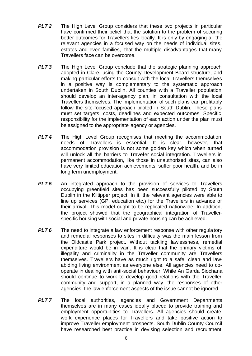- **PLT 2** The High Level Group considers that these two projects in particular have confirmed their belief that the solution to the problem of securing better outcomes for Travellers lies locally. It is only by engaging all the relevant agencies in a focused way on the needs of individual sites, estates and even families, that the multiple disadvantages that many Travellers face can be overcome.
- **PLT 3** The High Level Group conclude that the strategic planning approach adopted in Clare, using the County Development Board structure, and making particular efforts to consult with the local Travellers themselves in a positive way is complementary to the systematic approach undertaken in South Dublin. All counties with a Traveller population should develop an inter-agency plan, in consultation with the local Travellers themselves. The implementation of such plans can profitably follow the site-focused approach piloted in South Dublin. These plans must set targets, costs, deadlines and expected outcomes. Specific responsibility for the implementation of each action under the plan must be assigned to the appropriate agency or agencies.
- *PLT 4* The High Level Group recognises that meeting the accommodation needs of Travellers is essential. It is clear, however, that accommodation provision is not some golden key which when turned will unlock all the barriers to Traveller social integration. Travellers in permanent accommodation, like those in unauthorised sites, can also have very limited education achievements, suffer poor health, and be in long term unemployment.
- **PLT 5** An integrated approach to the provision of services to Travellers occupying greenfield sites has been successfully piloted by South Dublin in the Kiltipper project. In it, the relevant agencies were able to line up services (GP, education etc.) for the Travellers in advance of their arrival. This model ought to be replicated nationwide. In addition, the project showed that the geographical integration of Travellerspecific housing with social and private housing can be achieved.
- **PLT 6** The need to integrate a law enforcement response with other regulatory and remedial responses to sites in difficulty was the main lesson from the Oldcastle Park project. Without tackling lawlessness, remedial expenditure would be in vain. It is clear that the primary victims of illegality and criminality in the Traveller community are Travellers themselves. Travellers have as much right to a safe, clean and lawabiding living environment as everyone else. All agencies need to cooperate in dealing with anti-social behaviour. While An Garda Siochana should continue to work to develop good relations with the Traveller community and support, in a planned way, the responses of other agencies, the law enforcement aspects of the issue cannot be ignored.
- **PLT7** The local authorities, agencies and Government Departments themselves are in many cases ideally placed to provide training and employment opportunities to Travellers. All agencies should create work experience places for Travellers and take positive action to improve Traveller employment prospects. South Dublin County Council have researched best practice in devising selection and recruitment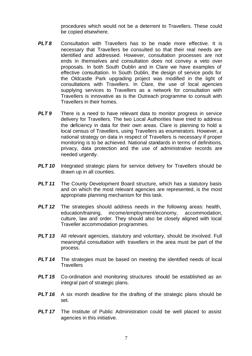procedures which would not be a deterrent to Travellers. These could be copied elsewhere.

- **PLT8** Consultation with Travellers has to be made more effective. It is necessary that Travellers be consulted so that their real needs are identified and addressed. However, consultation processes are not ends in themselves and consultation does not convey a veto over proposals. In both South Dublin and in Clare we have examples of effective consultation. In South Dublin, the design of service pods for the Oldcastle Park upgrading project was modified in the light of consultations with Travellers. In Clare, the use of local agencies supplying services to Travellers as a network for consultation with Travellers is innovative as is the Outreach programme to consult with Travellers in their homes.
- **PLT 9** There is a need to have relevant data to monitor progress in service delivery for Travellers. The two Local Authorities have tried to address the deficiency in data for their own areas. Clare is planning to hold a local census of Travellers, using Travellers as enumerators. However, a national strategy on data in respect of Travellers is necessary if proper monitoring is to be achieved. National standards in terms of definitions, privacy, data protection and the use of administrative records are needed urgently.
- **PLT 10** Integrated strategic plans for service delivery for Travellers should be drawn up in all counties.
- **PLT 11** The County Development Board structure, which has a statutory basis and on which the most relevant agencies are represented, is the most appropriate planning mechanism for this task.
- **PLT 12** The strategies should address needs in the following areas: health, education/training, income/employment/economy, accommodation, culture, law and order. They should also be closely aligned with local Traveller accommodation programmes.
- **PLT 13** All relevant agencies, statutory and voluntary, should be involved. Full meaningful consultation with travellers in the area must be part of the process.
- **PLT 14** The strategies must be based on meeting the identified needs of local **Travellers**
- *PLT 15* Co-ordination and monitoring structures should be established as an integral part of strategic plans.
- **PLT 16** A six month deadline for the drafting of the strategic plans should be set.
- **PLT 17** The Institute of Public Administration could be well placed to assist agencies in this initiative.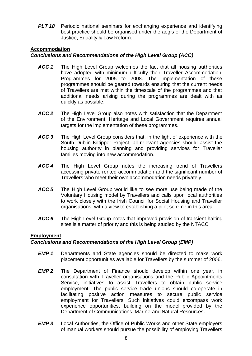**PLT 18** Periodic national seminars for exchanging experience and identifying best practice should be organised under the aegis of the Department of Justice, Equality & Law Reform.

## **Accommodation**

## *Conclusions and Recommendations of the High Level Group (ACC)*

- ACC 1 The High Level Group welcomes the fact that all housing authorities have adopted with minimum difficulty their Traveller Accommodation Programmes for 2005 to 2008. The implementation of these programmes should be geared towards ensuring that the current needs of Travellers are met within the timescale of the programmes and that additional needs arising during the programmes are dealt with as quickly as possible.
- *ACC 2* The High Level Group also notes with satisfaction that the Department of the Environment, Heritage and Local Government requires annual targets for the implementation of these programmes.
- *ACC 3* The High Level Group considers that, in the light of experience with the South Dublin Kiltipper Project, all relevant agencies should assist the housing authority in planning and providing services for Traveller families moving into new accommodation.
- *ACC 4* The High Level Group notes the increasing trend of Travellers accessing private rented accommodation and the significant number of Travellers who meet their own accommodation needs privately.
- *ACC 5* The High Level Group would like to see more use being made of the Voluntary Housing model by Travellers and calls upon local authorities to work closely with the Irish Council for Social Housing and Traveller organisations, with a view to establishing a pilot scheme in this area.
- *ACC 6* The High Level Group notes that improved provision of transient halting sites is a matter of priority and this is being studied by the NTACC

# **Employment**

#### *Conclusions and Recommendations of the High Level Group (EMP)*

- *EMP 1* Departments and State agencies should be directed to make work placement opportunities available for Travellers by the summer of 2006.
- *EMP 2* The Department of Finance should develop within one year, in consultation with Traveller organisations and the Public Appointments Service, initiatives to assist Travellers to obtain public service employment. The public service trade unions should co-operate in facilitating positive action measures to secure public service employment for Travellers. Such initiatives could encompass work experience opportunities, building on the model provided by the Department of Communications, Marine and Natural Resources.
- *EMP 3* Local Authorities, the Office of Public Works and other State employers of manual workers should pursue the possibility of employing Travellers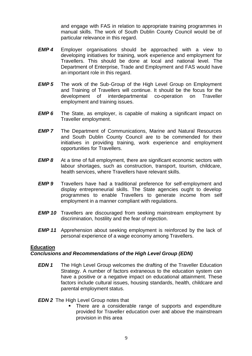and engage with FAS in relation to appropriate training programmes in manual skills. The work of South Dublin County Council would be of particular relevance in this regard.

- *EMP 4* Employer organisations should be approached with a view to developing initiatives for training, work experience and employment for Travellers. This should be done at local and national level. The Department of Enterprise, Trade and Employment and FAS would have an important role in this regard.
- *EMP 5* The work of the Sub-Group of the High Level Group on Employment and Training of Travellers will continue. It should be the focus for the development of interdepartmental co-operation on Traveller employment and training issues.
- *EMP 6* The State, as employer, is capable of making a significant impact on Traveller employment.
- *EMP 7* The Department of Communications, Marine and Natural Resources and South Dublin County Council are to be commended for their initiatives in providing training, work experience and employment opportunities for Travellers.
- *EMP 8* At a time of full employment, there are significant economic sectors with labour shortages, such as construction, transport, tourism, childcare, health services, where Travellers have relevant skills.
- *EMP 9* Travellers have had a traditional preference for self-employment and display entrepreneurial skills. The State agencies ought to develop programmes to enable Travellers to generate income from self employment in a manner compliant with regulations.
- *EMP 10* Travellers are discouraged from seeking mainstream employment by discrimination, hostility and the fear of rejection.
- *EMP 11* Apprehension about seeking employment is reinforced by the lack of personal experience of a wage economy among Travellers.

#### **Education**

#### *Conclusions and Recommendations of the High Level Group (EDN)*

*EDN 1* The High Level Group welcomes the drafting of the Traveller Education Strategy. A number of factors extraneous to the education system can have a positive or a negative impact on educational attainment. These factors include cultural issues, housing standards, health, childcare and parental employment status.

#### *EDN 2* The High Level Group notes that

There are a considerable range of supports and expenditure provided for Traveller education over and above the mainstream provision in this area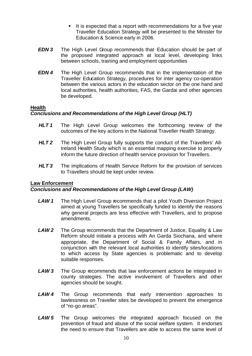- $\blacksquare$  It is expected that a report with recommendations for a five year Traveller Education Strategy will be presented to the Minister for Education & Science early in 2006.
- *EDN 3* The High Level Group recommends that Education should be part of the proposed integrated approach at local level, developing links between schools, training and employment opportunities
- *EDN 4* The High Level Group recommends that in the implementation of the Traveller Education Strategy, procedures for inter agency co-operation between the various actors in the education sector on the one hand and local authorities, health authorities, FAS, the Gardai and other agencies be developed.

#### **Health**

## *Conclusions and Recommendations of the High Level Group (HLT)*

- *HLT 1* The High Level Group welcomes the forthcoming review of the outcomes of the key actions in the National Traveller Health Strategy.
- *HLT 2* The High Level Group fully supports the conduct of the Travellers' All-Ireland Health Study which is an essential mapping exercise to properly inform the future direction of health service provision for Travellers.
- **HLT 3** The implications of Health Service Reform for the provision of services to Travellers should be kept under review.

#### **Law Enforcement**

#### *Conclusions and Recommendations of the High Level Group (LAW)*

- **LAW 1** The High Level Group recommends that a pilot Youth Diversion Project aimed at young Travellers be specifically funded to identify the reasons why general projects are less effective with Travellers, and to propose amendments.
- *LAW 2* The Group recommends that the Department of Justice, Equality & Law Reform should initiate a process with An Garda Siochana, and where appropriate, the Department of Social & Family Affairs, and in conjunction with the relevant local authorities to identify sites/locations to which access by State agencies is problematic and to develop suitable responses.
- **LAW 3** The Group recommends that law enforcement actions be integrated in county strategies. The active involvement of Travellers and other agencies should be sought.
- *LAW 4* The Group recommends that early intervention approaches to lawlessness on Traveller sites be developed to prevent the emergence of "no-go areas".
- *LAW 5* The Group welcomes the integrated approach focused on the prevention of fraud and abuse of the social welfare system. It endorses the need to ensure that Travellers are able to access the same level of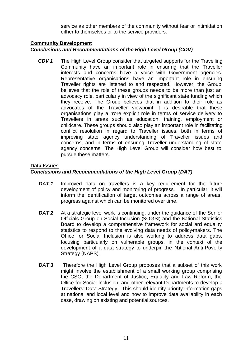service as other members of the community without fear or intimidation either to themselves or to the service providers.

#### **Community Development**

### *Conclusions and Recommendations of the High Level Group (CDV)*

*CDV 1* The High Level Group consider that targeted supports for the Travelling Community have an important role in ensuring that the Traveller interests and concerns have a voice with Government agencies. Representative organisations have an important role in ensuring Traveller rights are listened to and respected. However, the Group believes that the role of these groups needs to be more than just an advocacy role, particularly in view of the significant state funding which they receive. The Group believes that in addition to their role as advocates of the Traveller viewpoint it is desirable that these organisations play a more explicit role in terms of service delivery to Travellers in areas such as education, training, employment or childcare. These groups should also play an important role in facilitating conflict resolution in regard to Traveller issues, both in terms of improving state agency understanding of Traveller issues and concerns, and in terms of ensuring Traveller understanding of state agency concerns. The High Level Group will consider how best to pursue these matters.

#### **Data Issues**

#### *Conclusions and Recommendations of the High Level Group (DAT)*

- **DAT1** Improved data on travellers is a key requirement for the future development of policy and monitoring of progress. In particular, it will inform the identification of target outcomes across a range of areas, progress against which can be monitored over time.
- *DAT 2* At a strategic level work is continuing, under the guidance of the Senior Officials Group on Social Inclusion (SOGSI) and the National Statistics Board to develop a comprehensive framework for social and equality statistics to respond to the evolving data needs of policy-makers. The Office for Social Inclusion is also working to address data gaps, focusing particularly on vulnerable groups, in the context of the development of a data strategy to underpin the National Anti-Poverty Strategy (NAPS).
- **DAT 3** Therefore the High Level Group proposes that a subset of this work might involve the establishment of a small working group comprising the CSO, the Department of Justice, Equality and Law Reform, the Office for Social Inclusion, and other relevant Departments to develop a Travellers' Data Strategy. This should identify priority information gaps at national and local level and how to improve data availability in each case, drawing on existing and potential sources.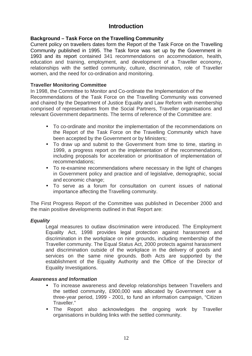# **Introduction**

# **Background – Task Force on the Travelling Community**

Current policy on travellers dates form the Report of the Task Force on the Travelling Community published in 1995. The Task force was set up by the Government in 1993 and its report contained 341 recommendations on accommodation, health, education and training, employment, and development of a Traveller economy, relationships with the settled community, culture, discrimination, role of Traveller women, and the need for co-ordination and monitoring.

# **Traveller Monitoring Committee**

In 1998, the Committee to Monitor and Co-ordinate the Implementation of the Recommendations of the Task Force on the Travelling Community was convened and chaired by the Department of Justice Equality and Law Reform with membership comprised of representatives from the Social Partners, Traveller organisations and relevant Government departments. The terms of reference of the Committee are:

- To co-ordinate and monitor the implementation of the recommendations on the Report of the Task Force on the Travelling Community which have been accepted by the Government or by Ministers;
- To draw up and submit to the Government from time to time, starting in 1999, a progress report on the implementation of the recommendations, including proposals for acceleration or prioritisation of implementation of recommendations;
- To re-examine recommendations where necessary in the light of changes in Government policy and practice and of legislative, demographic, social and economic change;
- To serve as a forum for consultation on current issues of national importance affecting the Travelling community.

The First Progress Report of the Committee was published in December 2000 and the main positive developments outlined in that Report are:

# *Equality*

Legal measures to outlaw discrimination were introduced. The Employment Equality Act, 1998 provides legal protection against harassment and discrimination in the workplace on nine grounds, including membership of the Traveller community. The Equal Status Act, 2000 protects against harassment and discrimination outside of the workplace in the delivery of goods and services on the same nine grounds. Both Acts are supported by the establishment of the Equality Authority and the Office of the Director of Equality Investigations.

#### *Awareness and Information*

- To increase awareness and develop relationships between Travellers and the settled community, £900,000 was allocated by Government over a three-year period, 1999 - 2001, to fund an information campaign, "Citizen Traveller."
- The Report also acknowledges the ongoing work by Traveller organisations in building links with the settled community.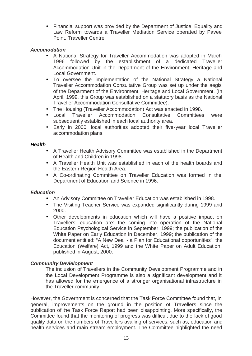• Financial support was provided by the Department of Justice, Equality and Law Reform towards a Traveller Mediation Service operated by Pavee Point, Traveller Centre.

## *Accomodation*

- A National Strategy for Traveller Accommodation was adopted in March 1996 followed by the establishment of a dedicated Traveller Accommodation Unit in the Department of the Environment, Heritage and Local Government.
- To oversee the implementation of the National Strategy a National Traveller Accommodation Consultative Group was set up under the aegis of the Department of the Environment, Heritage and Local Government. (In April, 1999, this Group was established on a statutory basis as the National Traveller Accommodation Consultative Committee).
- The Housing (Traveller Accommodation) Act was enacted in 1998.
- Local Traveller Accommodation Consultative Committees were subsequently established in each local authority area.
- Early in 2000, local authorities adopted their five-year local Traveller accommodation plans.

#### *Health*

- A Traveller Health Advisory Committee was established in the Department of Health and Children in 1998.
- A Traveller Health Unit was established in each of the health boards and the Eastern Region Health Area.
- A Co-ordinating Committee on Traveller Education was formed in the Department of Education and Science in 1996.

#### *Education*

- An Advisory Committee on Traveller Education was established in 1998.
- The Visiting Teacher Service was expanded significantly during 1999 and 2000.
- Other developments in education which will have a positive impact on Travellers' education are: the coming into operation of the National Education Psychological Service in September, 1999; the publication of the White Paper on Early Education in December, 1999; the publication of the document entitled: "A New Deal - a Plan for Educational opportunities"; the Education (Welfare) Act, 1999 and the White Paper on Adult Education, published in August, 2000.

#### *Community Devlelopment*

The inclusion of Travellers in the Community Development Programme and in the Local Development Programme is also a significant development and it has allowed for the emergence of a stronger organisational infrastructure in the Traveller community.

However, the Government is concerned that the Task Force Committee found that, in general, improvements on the ground in the position of Travellers since the publication of the Task Force Report had been disappointing. More specifically, the Committee found that the monitoring of progress was difficult due to the lack of good quality data on the numbers of Travellers availing of services, such as, education and health services and main stream employment. The Committee highlighted the need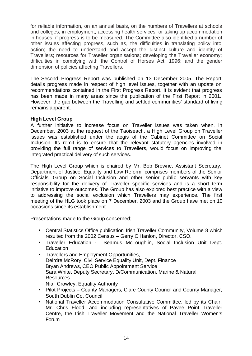for reliable information, on an annual basis, on the numbers of Travellers at schools and colleges, in employment, accessing health services, or taking up accommodation in houses, if progress is to be measured. The Committee also identified a number of other issues affecting progress, such as, the difficulties in translating policy into action; the need to understand and accept the distinct culture and identity of Travellers; resources for Traveller organisations; developing the Traveller economy; difficulties in complying with the Control of Horses Act, 1996; and the gender dimension of policies affecting Travellers.

The Second Progress Report was published on 13 December 2005. The Report details progress made in respect of high level issues, together with an update on recommendations contained in the First Progress Report. It is evident that progress has been made in many areas since the publication of the First Report in 2001. However, the gap between the Travelling and settled communities' standard of living remains apparent.

#### **High Level Group**

A further initiative to increase focus on Traveller issues was taken when, in December, 2003 at the request of the Taoiseach, a High Level Group on Traveller issues was established under the aegis of the Cabinet Committee on Social Inclusion. Its remit is to ensure that the relevant statutory agencies involved in providing the full range of services to Travellers, would focus on improving the integrated practical delivery of such services.

The High Level Group which is chaired by Mr. Bob Browne, Assistant Secretary, Department of Justice, Equality and Law Reform, comprises members of the Senior Officials' Group on Social Inclusion and other senior public servants with key responsibility for the delivery of Traveller specific services and is a short term initiative to improve outcomes. The Group has also explored best practice with a view to addressing the social exclusion which Travellers may experience. The first meeting of the HLG took place on 7 December, 2003 and the Group have met on 10 occasions since its establishment.

Presentations made to the Group concerned;

- Central Statistics Office publication Irish Traveller Community, Volume 8 which resulted from the 2002 Census – Gerry O'Hanlon, Director, CSO.
- Traveller Education Seamus McLoughlin, Social Inclusion Unit Dept. **Education**
- Travellers and Employment Opportunities, Deirdre McRory, Civil Service Equality Unit, Dept. Finance Bryan Andrews, CEO Public Appointment Service Sara White, Deputy Secretary, D/Communication, Marine & Natural **Resources** Niall Crowley, Equality Authority
- Pilot Projects County Managers, Clare County Council and County Manager, South Dublin Co. Council
- National Traveller Accommodation Consultative Committee, led by its Chair, Mr. Chris Flood, and including representatives of Pavee Point Traveller Centre, the Irish Traveller Movement and the National Traveller Women's Forum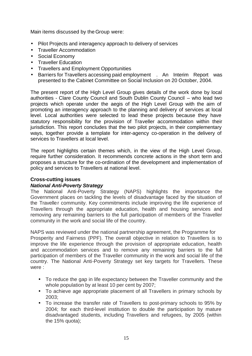Main items discussed by the Group were:

- Pilot Projects and interagency approach to delivery of services
- Traveller Accommodation
- Social Economy
- Traveller Education
- Travellers and Employment Opportunities
- Barriers for Travellers accessing paid employment . An Interim Report was presented to the Cabinet Committee on Social Inclusion on 20 October, 2004.

The present report of the High Level Group gives details of the work done by local authorities - Clare County Council and South Dublin County Council – who lead two projects which operate under the aegis of the High Level Group with the aim of promoting an interagency approach to the planning and delivery of services at local level. Local authorities were selected to lead these projects because they have statutory responsibility for the provision of Traveller accommodation within their jurisdiction. This report concludes that the two pilot projects, in their complementary ways, together provide a template for inter-agency co-operation in the delivery of services to Travellers at local level.

The report highlights certain themes which, in the view of the High Level Group, require further consideration. It recommends concrete actions in the short term and proposes a structure for the co-ordination of the development and implementation of policy and services to Travellers at national level.

#### **Cross-cutting issues**

#### *National Anti-Poverty Strategy*

The National Anti-Poverty Strategy (NAPS) highlights the importance the Government places on tackling the levels of disadvantage faced by the situation of the Traveller community. Key commitments include improving the life experience of Travellers through the appropriate education, health and housing services and removing any remaining barriers to the full participation of members of the Traveller community in the work and social life of the country.

NAPS was reviewed under the national partnership agreement, the Programme for Prosperity and Fairness (PPF). The overall objective in relation to Travellers is to improve the life experience through the provision of appropriate education, health and accommodation services and to remove any remaining barriers to the full participation of members of the Traveller community in the work and social life of the country. The National Anti-Poverty Strategy set key targets for Travellers. These were :

- To reduce the gap in life expectancy between the Traveller community and the whole population by at least 10 per cent by 2007;
- To achieve age appropriate placement of all Travellers in primary schools by 2003;
- To increase the transfer rate of Travellers to post-primary schools to 95% by 2004; for each third-level institution to double the participation by mature disadvantaged students, including Travellers and refugees, by 2005 (within the 15% quota);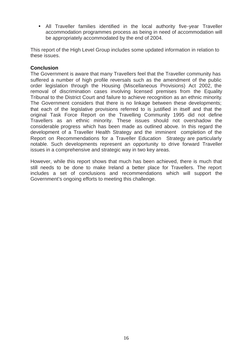• All Traveller families identified in the local authority five-year Traveller accommodation programmes process as being in need of accommodation will be appropriately accommodated by the end of 2004.

This report of the High Level Group includes some updated information in relation to these issues.

#### **Conclusion**

The Government is aware that many Travellers feel that the Traveller community has suffered a number of high profile reversals such as the amendment of the public order legislation through the Housing (Miscellaneous Provisions) Act 2002, the removal of discrimination cases involving licensed premises from the Equality Tribunal to the District Court and failure to achieve recognition as an ethnic minority. The Government considers that there is no linkage between these developments; that each of the legislative provisions referred to is justified in itself and that the original Task Force Report on the Travelling Community 1995 did not define Travellers as an ethnic minority. These issues should not overshadow the considerable progress which has been made as outlined above. In this regard the development of a Traveller Health Strategy and the imminent completion of the Report on Recommendations for a Traveller Education Strategy are particularly notable. Such developments represent an opportunity to drive forward Traveller issues in a comprehensive and strategic way in two key areas.

However, while this report shows that much has been achieved, there is much that still needs to be done to make Ireland a better place for Travellers. The report includes a set of conclusions and recommendations which will support the Government's ongoing efforts to meeting this challenge.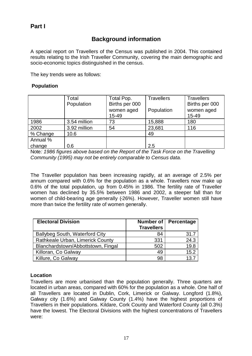# **Background information**

A special report on Travellers of the Census was published in 2004. This contained results relating to the Irish Traveller Community, covering the main demographic and socio-economic topics distinguished in the census.

The key trends were as follows:

### **Population**

|          | Total<br>Population | Total Pop.<br>Births per 000<br>women aged<br>15-49 | <b>Travellers</b><br>Population | <b>Travellers</b><br>Births per 000<br>women aged<br>15-49 |
|----------|---------------------|-----------------------------------------------------|---------------------------------|------------------------------------------------------------|
| 1986     | 3.54 million        | 73                                                  | 15,888                          | 180                                                        |
| 2002     | 3.92 million        | 54                                                  | 23,681                          | 116                                                        |
| % Change | 10.6                |                                                     | 49                              |                                                            |
| Annual % |                     |                                                     |                                 |                                                            |
| change   | 0.6                 |                                                     | 2.5                             |                                                            |

Note*: 1986 figures above based on the Report of the Task Force on the Travelling Community (1995) may not be entirely comparable to Census data.*

The Traveller population has been increasing rapidly, at an average of 2.5% per annum compared with 0.6% for the population as a whole. Travellers now make up 0.6% of the total population, up from 0.45% in 1986. The fertility rate of Traveller women has declined by 35.5% between 1986 and 2002, a steeper fall than for women of child-bearing age generally (-26%). However, Traveller women still have more than twice the fertility rate of women generally.

| <b>Electoral Division</b>             |                   | Number of   Percentage |  |
|---------------------------------------|-------------------|------------------------|--|
|                                       | <b>Travellers</b> |                        |  |
| <b>Ballybeg South, Waterford City</b> | 84                | 31.7                   |  |
| Rathkeale Urban, Limerick County      | 331               | 24.3                   |  |
| Blanchardstown/Abbottstown, Fingal    | 502               | 19.8                   |  |
| Killoran, Co Galway                   | 49                | 15.2                   |  |
| Killure, Co Galway                    | 98                | 13.7                   |  |

# **Location**

Travellers are more urbanised than the population generally. Three quarters are located in urban areas, compared with 60% for the population as a whole. One half of all Travellers are located in Dublin, Cork, Limerick or Galway. Longford (1.8%), Galway city (1.6%) and Galway County (1.4%) have the highest proportions of Travellers in their populations. Kildare, Cork County and Waterford County (all 0.3%) have the lowest. The Electoral Divisions with the highest concentrations of Travellers were: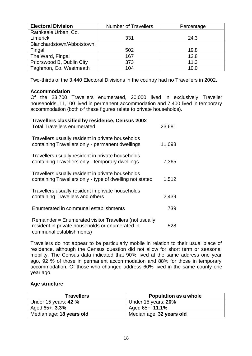| <b>Electoral Division</b>  | <b>Number of Travellers</b> | Percentage |
|----------------------------|-----------------------------|------------|
| Rathkeale Urban, Co.       |                             |            |
| Limerick                   | 331                         | 24.3       |
| Blanchardstown/Abbotstown, |                             |            |
| Fingal                     | 502                         | 19.8       |
| The Ward, Fingal           | 167                         | 12.8       |
| Priorswood B, Dublin City  | 373                         | 11.3       |
| Taghmon, Co. Westmeath     | 104                         | 10.0       |

Two-thirds of the 3,440 Electoral Divisions in the country had no Travellers in 2002.

## **Accommodation**

Of the 23,700 Travellers enumerated, 20,000 lived in exclusively Traveller households. 11,100 lived in permanent accommodation and 7,400 lived in temporary accommodation (both of these figures relate to private households).

| Travellers classified by residence, Census 2002<br><b>Total Travellers enumerated</b>                                                 | 23,681 |
|---------------------------------------------------------------------------------------------------------------------------------------|--------|
| Travellers usually resident in private households<br>containing Travellers only - permanent dwellings                                 | 11,098 |
| Travellers usually resident in private households<br>containing Travellers only - temporary dwellings                                 | 7,365  |
| Travellers usually resident in private households<br>containing Travellers only - type of dwelling not stated                         | 1,512  |
| Travellers usually resident in private households<br>containing Travellers and others                                                 | 2,439  |
| Enumerated in communal establishments                                                                                                 | 739    |
| Remainder = Enumerated visitor Travellers (not usually<br>resident in private households or enumerated in<br>communal establishments) | 528    |

Travellers do not appear to be particularly mobile in relation to their usual place of residence, although the Census question did not allow for short term or seasonal mobility. The Census data indicated that 90% lived at the same address one year ago, 92 % of those in permanent accommodation and 88% for those in temporary accommodation. Of those who changed address 60% lived in the same county one year ago.

#### **Age structure**

| <b>Travellers</b>        | <b>Population as a whole</b> |  |  |
|--------------------------|------------------------------|--|--|
| Under 15 years: 42 %     | Under 15 years: 20%          |  |  |
| Aged $65 + 3.3\%$        | Aged 65+: <b>11.1%</b>       |  |  |
| Median age: 18 years old | Median age: 32 years old     |  |  |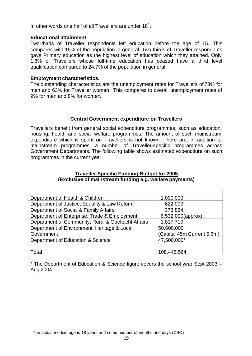In other words one half of all Travellers are under 18<sup>1</sup>.

#### **Educational attainment**

Two-thirds of Traveller respondents left education before the age of 15. This compares with 15% of the population in general. Two-thirds of Traveller respondents gave Primary education as the highest level of education which they attained. Only 1.8% of Travellers whose full-time education has ceased have a third level qualification compared to 24.7% of the population in general.

#### **Employment characteristics.**

The outstanding characteristics are the unemployment rates for Travellers of 73% for men and 63% for Traveller women. This compares to overall unemployment rates of 9% for men and 8% for women.

#### **Central Government expenditure on Travellers**

Travellers benefit from general social expenditure programmes, such as education, housing, health and social welfare programmes. The amount of such mainstream expenditure which is spent on Travellers is not known. There are, in addition to mainstream programmes, a number of Traveller-specific programmes across Government Departments. The following table shows estimated expenditure on such programmes in the current year.

| Department of Health & Children                    | 1,000,000                  |
|----------------------------------------------------|----------------------------|
| Department of Justice, Equality & Law Reform       | 622,000                    |
| Department of Social & Family Affairs              | 373,854                    |
| Department of Enterprise, Trade & Employment       | 6,532,000(approx)          |
| Department of Community, Rural & Gaeltacht Affairs | 1,817,710                  |
| Department of Environment, Heritage & Local        | 50,600,000                 |
| Government                                         | (Capital 45m Current 5.6m) |
| Department of Education & Science                  | 47,500,000*                |
|                                                    |                            |
| Total                                              | 108,445,564                |

#### **Traveller Specific Funding Budget for 2005 (Exclusive of mainstream funding e.g. welfare payments)**

\* The Department of Education & Science figure covers the school year Sept 2003 – Aug 2004

l  $1$  The actual median age is 18 years and some number of months and days (CSO)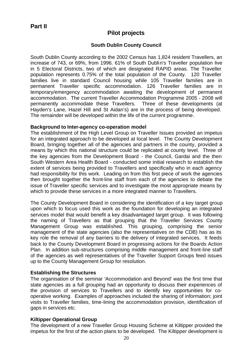# **Pilot projects**

## **South Dublin County Council**

South Dublin County according to the 2002 Census has 1,824 resident Travellers, an increase of 743, or 69%, from 1996. 61% of South Dublin's Traveller population live in 5 Electoral Districts, two of which are designated RAPID areas. The Traveller population represents 0.75% of the total population of the County. 120 Traveller families live in standard Council housing while 105 Traveller families are in permanent Traveller specific accommodation. 126 Traveller families are in temporary/emergency accommodation awaiting the development of permanent accommodation. The current Traveller Accommodation Programme 2005 - 2008 will permanently accommodate these Travellers. Three of these developments (at Hayden's Lane, Hazel Hill and St Aidan's) are in the process of being developed. The remainder will be developed within the life of the current programme.

#### **Background to Inter-agency co-operation model**

The establishment of the High Level Group on Traveller Issues provided an impetus for an integrated approach to be developed at local level. The County Development Board, bringing together all of the agencies and partners in the county, provided a means by which this national structure could be replicated at county level. Three of the key agencies from the Development Board - the Council, Gardai and the then South Western Area Health Board - conducted some initial research to establish the extent of services being provided to Travellers and specifically who in each agency had responsibility for this work. Leading on from this first piece of work the agencies then brought together the front-line staff from each of the agencies to debate the issue of Traveller specific services and to investigate the most appropriate means by which to provide these services in a more integrated manner to Travellers.

The County Development Board in considering the identification of a key target group upon which to focus used this work as the foundation for developing an integrated services model that would benefit a key disadvantaged target group. It was following the naming of Travellers as that grouping that the Traveller Services County Management Group was established. This grouping, comprising the senior management of the state agencies (also the representatives on the CDB) has as its key role the removal of any barriers to the delivery of integrated services. It feeds back to the County Development Board in progressing actions for the Boards Action Plan. In addition sub-structures comprising middle management and front-line staff of the agencies as well representatives of the Traveller Support Groups feed issues up to the County Management Group for resolution.

#### **Establishing the Structures**

The organisation of the seminar 'Accommodation and Beyond' was the first time that state agencies as a full grouping had an opportunity to discuss their experiences of the provision of services to Travellers and to identify key opportunities for cooperative working. Examples of approaches included the sharing of information; joint visits to Traveller families, time-lining the accommodation provision, identification of gaps in services etc.

#### **Kiltipper Operational Group**

The development of a new Traveller Group Housing Scheme at Kiltipper provided the impetus for the first of the action plans to be developed. The Kiltipper development is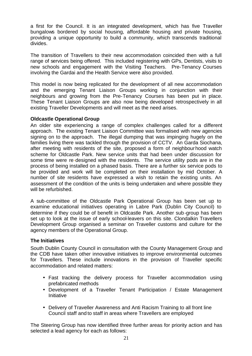a first for the Council. It is an integrated development, which has five Traveller bungalows bordered by social housing, affordable housing and private housing, providing a unique opportunity to build a community, which transcends traditional divides.

The transition of Travellers to their new accommodation coincided then with a full range of services being offered. This included registering with GPs, Dentists, visits to new schools and engagement with the Visiting Teachers. Pre-Tenancy Courses involving the Gardai and the Health Service were also provided.

This model is now being replicated for the development of all new accommodation and the emerging Tenant Liaison Groups working in conjunction with their neighbours and growing from the Pre-Tenancy Courses has been put in place. These Tenant Liaison Groups are also now being developed retrospectively in all existing Traveller Developments and will meet as the need arises.

#### **Oldcastle Operational Group**

An older site experiencing a range of complex challenges called for a different approach. The existing Tenant Liaison Committee was formalised with new agencies signing on to the approach. The illegal dumping that was impinging hugely on the families living there was tackled through the provision of CCTV. An Garda Siochana, after meeting with residents of the site, proposed a form of neighbourhood watch scheme for Oldcastle Park. New service units that had been under discussion for some time were re-designed with the residents. The service utility pods are in the process of being installed on a phased basis. There are a further six service pods to be provided and work will be completed on their installation by mid October. A number of site residents have expressed a wish to retain the existing units. An assessment of the condition of the units is being undertaken and where possible they will be refurbished.

A sub-committee of the Oldcastle Park Operational Group has been set up to examine educational initiatives operating in Labre Park (Dublin City Council) to determine if they could be of benefit in Oldcastle Park. Another sub-group has been set up to look at the issue of early school-leavers on this site. Clondalkin Travellers Development Group organised a seminar on Traveller customs and culture for the agency members of the Operational Group.

# **The Initiatives**

South Dublin County Council in consultation with the County Management Group and the CDB have taken other innovative initiatives to improve environmental outcomes for Travellers. These include innovations in the provision of Traveller specific accommodation and related matters:

- Fast tracking the delivery process for Traveller accommodation using prefabricated methods
- Development of a Traveller Tenant Participation / Estate Management **Initiative**
- Delivery of Traveller Awareness and Anti Racism Training to all front line Council staff and to staff in areas where Travellers are employed

The Steering Group has now identified three further areas for priority action and has selected a lead agency for each as follows: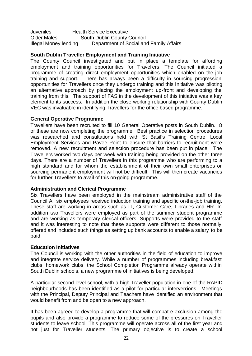Juveniles Health Service Executive **Older Males South Dublin County Council** Illegal Money lending Department of Social and Family Affairs

## **South Dublin Traveller Employment and Training Initiative**

The County Council investigated and put in place a template for affording employment and training opportunities for Travellers. The Council initiated a programme of creating direct employment opportunities which enabled on–the-job training and support. There has always been a difficulty in sourcing progression opportunities for Travellers once they undergo training and this initiative was piloting an alternative approach by placing the employment up-front and developing the training from this. The support of FAS in the development of this initiative was a key element to its success. In addition the close working relationship with County Dublin VEC was invaluable in identifying Travellers for the office based programme.

#### **General Operative Programme**

Travellers have been recruited to fill 10 General Operative posts in South Dublin. 8 of these are now completing the programme. Best practice in selection procedures was researched and consultations held with St Basil's Training Centre, Local Employment Services and Pavee Point to ensure that barriers to recruitment were removed. A new recruitment and selection procedure has been put in place. The Travellers worked two days per week with training being provided on the other three days. There are a number of Travellers in this programme who are performing to a high standard and for whom the establishment of their own small enterprises or sourcing permanent employment will not be difficult. This will then create vacancies for further Travellers to avail of this on-going programme.

#### **Administration and Clerical Programme**

Six Travellers have been employed in the mainstream administrative staff of the Council All six employees received induction training and specific on-the-job training. These staff are working in areas such as IT, Customer Care, Libraries and HR. In addition two Travellers were employed as part of the summer student programme and are working as temporary clerical officers. Supports were provided to the staff and it was interesting to note that these supports were different to those normally offered and included such things as setting up bank accounts to enable a salary to be paid.

#### **Education Initiatives**

The Council is working with the other authorities in the field of education to improve and integrate service delivery. While a number of programmes including breakfast clubs, homework clubs, the School Completion Programme already operate within South Dublin schools, a new programme of initiatives is being developed.

A particular second level school, with a high Traveller population in one of the RAPID neighbourhoods has been identified as a pilot for particular interventions. Meetings with the Principal, Deputy Principal and Teachers have identified an environment that would benefit from and be open to a new approach.

It has been agreed to develop a programme that will combat e-exclusion among the pupils and also provide a programme to reduce some of the pressures on Traveller students to leave school. This programme will operate across all of the first year and not just for Traveller students. The primary objective is to create a school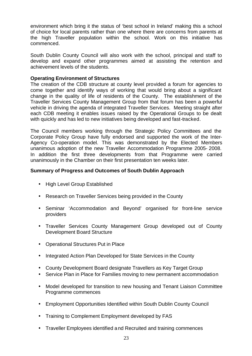environment which bring it the status of 'best school in Ireland' making this a school of choice for local parents rather than one where there are concerns from parents at the high Traveller population within the school. Work on this initiative has commenced.

South Dublin County Council will also work with the school, principal and staff to develop and expand other programmes aimed at assisting the retention and achievement levels of the students.

### **Operating Environment of Structures**

The creation of the CDB structure at county level provided a forum for agencies to come together and identify ways of working that would bring about a significant change in the quality of life of residents of the County. The establishment of the Traveller Services County Management Group from that forum has been a powerful vehicle in driving the agenda of integrated Traveller Services. Meeting straight after each CDB meeting it enables issues raised by the Operational Groups to be dealt with quickly and has led to new initiatives being developed and fast-tracked.

The Council members working through the Strategic Policy Committees and the Corporate Policy Group have fully endorsed and supported the work of the Inter-Agency Co-operation model. This was demonstrated by the Elected Members unanimous adoption of the new Traveller Accommodation Programme 2005- 2008. In addition the first three developments from that Programme were carried unanimously in the Chamber on their first presentation ten weeks later.

#### **Summary of Progress and Outcomes of South Dublin Approach**

- High Level Group Established
- Research on Traveller Services being provided in the County
- Seminar 'Accommodation and Beyond' organised for front-line service providers
- Traveller Services County Management Group developed out of County Development Board Structure
- Operational Structures Put in Place
- Integrated Action Plan Developed for State Services in the County
- County Development Board designate Travellers as Key Target Group
- Service Plan in Place for Families moving to new permanent accommodation
- Model developed for transition to new housing and Tenant Liaison Committee Programme commences
- Employment Opportunities Identified within South Dublin County Council
- Training to Complement Employment developed by FAS
- Traveller Employees identified and Recruited and training commences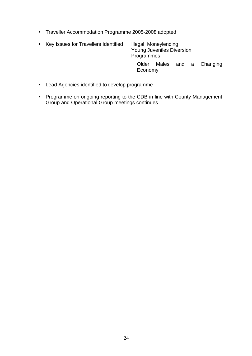• Traveller Accommodation Programme 2005-2008 adopted

|  | • Key Issues for Travellers Identified | Illegal Moneylending<br>Young Juveniles Diversion<br>Programmes |  |  |  |                      |
|--|----------------------------------------|-----------------------------------------------------------------|--|--|--|----------------------|
|  |                                        | Older<br>Economy                                                |  |  |  | Males and a Changing |

- Lead Agencies identified to develop programme
- Programme on ongoing reporting to the CDB in line with County Management Group and Operational Group meetings continues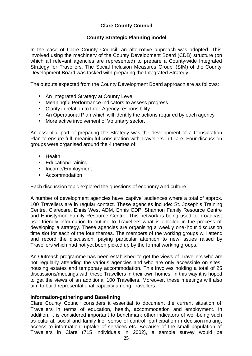# **Clare County Council**

## **County Strategic Planning model**

In the case of Clare County Council, an alternative approach was adopted. This involved using the machinery of the County Development Board (CDB) structure (on which all relevant agencies are represented) to prepare a County-wide Integrated Strategy for Travellers. The Social Inclusion Measures Group (SIM) of the County Development Board was tasked with preparing the Integrated Strategy.

The outputs expected from the County Development Board approach are as follows:

- An Integrated Strategy at County Level
- Meaningful Performance Indicators to assess progress
- Clarity in relation to Inter-Agency responsibility
- An Operational Plan which will identify the actions required by each agency
- More active involvement of Voluntary sector.

An essential part of preparing the Strategy was the development of a Consultation Plan to ensure full, meaningful consultation with Travellers in Clare. Four discussion groups were organised around the 4 themes of:

- Health
- Education/Training
- Income/Employment
- Accommodation

Each discussion topic explored the questions of economy and culture.

A number of development agencies have 'captive' audiences where a total of approx. 100 Travellers are in regular contact. These agencies include: St. Joseph's Training Centre, Clarecare, Ennis West ADM, Ennis CDP, Shannon Family Resource Centre and Ennistymon Family Resource Centre. This network is being used to broadcast user-friendly information to outline to Travellers what is entailed in the process of developing a strategy. These agencies are organising a weekly one-hour discussion time slot for each of the four themes. The members of the working groups will attend and record the discussion, paying particular attention to new issues raised by Travellers which had not yet been picked up by the formal working groups.

An Outreach programme has been established to get the views of Travellers who are not regularly attending the various agencies and who are only accessible on sites, housing estates and temporary accommodation. This involves holding a total of 25 discussions/meetings with these Travellers in their own homes. In this way it is hoped to get the views of an additional 100 Travellers. Moreover, these meetings will also aim to build representational capacity among Travellers.

#### **Information-gathering and Baselining**

Clare County Council considers it essential to document the current situation of Travellers in terms of education, health, accommodation and employment. In addition, it is considered important to benchmark other indicators of well-being such as cultural, social and family life, sense of control, participation in decision-making, access to information, uptake of services etc. Because of the small population of Travellers in Clare (715 individuals in 2002), a sample survey would be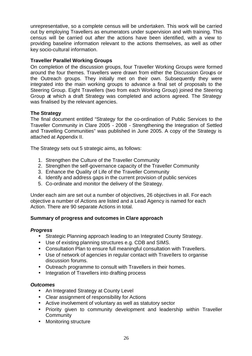unrepresentative, so a complete census will be undertaken. This work will be carried out by employing Travellers as enumerators under supervision and with training. This census will be carried out after the actions have been identified, with a view to providing baseline information relevant to the actions themselves, as well as other key socio-cultural information.

# **Traveller Parallel Working Groups**

On completion of the discussion groups, four Traveller Working Groups were formed around the four themes. Travellers were drawn from either the Discussion Groups or the Outreach groups. They initially met on their own. Subsequently they were integrated into the main working groups to advance a final set of proposals to the Steering Group. Eight Travellers (two from each Working Group) joined the Steering Group at which a draft Strategy was completed and actions agreed. The Strategy was finalised by the relevant agencies.

#### **The Strategy**

The final document entitled "Strategy for the co-ordination of Public Services to the Traveller Community in Clare 2005 - 2008 - Strengthening the Integration of Settled and Travelling Communities" was published in June 2005. A copy of the Strategy is attached at Appendix II.

The Strategy sets out 5 strategic aims, as follows:

- 1. Strengthen the Culture of the Traveller Community
- 2. Strengthen the self-governance capacity of the Traveller Community
- 3. Enhance the Quality of Life of the Traveller Community
- 4. Identify and address gaps in the current provision of public services
- 5. Co-ordinate and monitor the delivery of the Strategy.

Under each aim are set out a number of objectives, 26 objectives in all. For each objective a number of Actions are listed and a Lead Agency is named for each Action. There are 90 separate Actions in total.

# **Summary of progress and outcomes in Clare approach**

#### *Progress*

- Strategic Planning approach leading to an Integrated County Strategy.
- Use of existing planning structures e.g. CDB and SIMS.
- Consultation Plan to ensure full meaningful consultation with Travellers.
- Use of network of agencies in regular contact with Travellers to organise discussion forums.
- Outreach programme to consult with Travellers in their homes.
- Integration of Travellers into drafting process

#### *Outcomes*

- An Integrated Strategy at County Level
- Clear assignment of responsibility for Actions
- Active involvement of voluntary as well as statutory sector
- Priority given to community development and leadership within Traveller **Community**
- Monitoring structure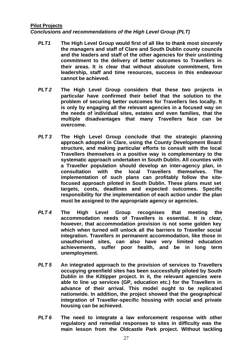#### **Pilot Projects**

*Conclusions and recommendations of the High Level Group (PLT)*

- *PLT1* **The High Level Group would first of all like to thank most sincerely the managers and staff of Clare and South Dublin county councils and the leaders and staff of the other agencies for their unstinting commitment to the delivery of better outcomes to Travellers in their areas. It is clear that without absolute commitment, firm leadership, staff and time resources, success in this endeavour cannot be achieved.**
- *PLT 2* **The High Level Group considers that these two projects in particular have confirmed their belief that the solution to the problem of securing better outcomes for Travellers lies locally. It is only by engaging all the relevant agencies in a focused way on the needs of individual sites, estates and even families, that the multiple disadvantages that many Travellers face can be overcome.**
- *PLT 3* **The High Level Group conclude that the strategic planning approach adopted in Clare, using the County Development Board structure, and making particular efforts to consult with the local Travellers themselves in a positive way is complementary to the systematic approach undertaken in South Dublin. All counties with a Traveller population should develop an inter-agency plan, in consultation with the local Travellers themselves. The implementation of such plans can profitably follow the sitefocused approach piloted in South Dublin. These plans must set targets, costs, deadlines and expected outcomes. Specific responsibility for the implementation of each action under the plan must be assigned to the appropriate agency or agencies.**
- *PLT 4* **The High Level Group recognises that meeting the accommodation needs of Travellers is essential. It is clear, however, that accommodation provision is not some golden key which when turned will unlock all the barriers to Traveller social integration. Travellers in permanent accommodation, like those in unauthorised sites, can also have very limited education achievements, suffer poor health, and be in long term unemployment.**
- *PLT 5* **An integrated approach to the provision of services to Travellers occupying greenfield sites has been successfully piloted by South Dublin in the Kiltipper project. In it, the relevant agencies were able to line up services (GP, education etc.) for the Travellers in advance of their arrival. This model ought to be replicated nationwide. In addition, the project showed that the geographical integration of Traveller-specific housing with social and private housing can be achieved.**
- *PLT 6* **The need to integrate a law enforcement response with other regulatory and remedial responses to sites in difficulty was the main lesson from the Oldcastle Park project. Without tackling**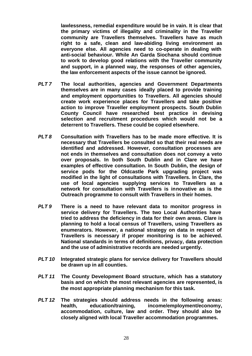**lawlessness, remedial expenditure would be in vain. It is clear that the primary victims of illegality and criminality in the Traveller community are Travellers themselves. Travellers have as much right to a safe, clean and law-abiding living environment as everyone else. All agencies need to co-operate in dealing with anti-social behaviour. While An Garda Siochana should continue to work to develop good relations with the Traveller community and support, in a planned way, the responses of other agencies, the law enforcement aspects of the issue cannot be ignored.** 

- *PLT 7* **The local authorities, agencies and Government Departments themselves are in many cases ideally placed to provide training and employment opportunities to Travellers. All agencies should create work experience places for Travellers and take positive action to improve Traveller employment prospects. South Dublin County Council have researched best practice in devising selection and recruitment procedures which would not be a deterrent to Travellers. These could be copied elsewhere.**
- *PLT 8* **Consultation with Travellers has to be made more effective. It is necessary that Travellers be consulted so that their real needs are identified and addressed. However, consultation processes are not ends in themselves and consultation does not convey a veto over proposals. In both South Dublin and in Clare we have examples of effective consultation. In South Dublin, the design of service pods for the Oldcastle Park upgrading project was modified in the light of consultations with Travellers. In Clare, the use of local agencies supplying services to Travellers as a network for consultation with Travellers is innovative as is the Outreach programme to consult with Travellers in their homes.**
- *PLT 9* **There is a need to have relevant data to monitor progress in service delivery for Travellers. The two Local Authorities have tried to address the deficiency in data for their own areas. Clare is planning to hold a local census of Travellers, using Travellers as enumerators. However, a national strategy on data in respect of Travellers is necessary if proper monitoring is to be achieved. National standards in terms of definitions, privacy, data protection and the use of administrative records are needed urgently.**
- *PLT 10* **Integrated strategic plans for service delivery for Travellers should be drawn up in all counties.**
- *PLT 11* **The County Development Board structure, which has a statutory basis and on which the most relevant agencies are represented, is the most appropriate planning mechanism for this task.**
- *PLT 12* **The strategies should address needs in the following areas: health, education/training, income/employment/economy, accommodation, culture, law and order. They should also be closely aligned with local Traveller accommodation programmes.**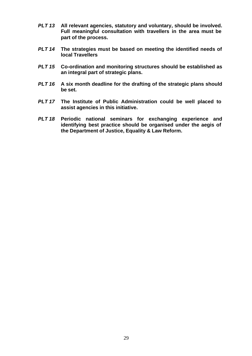- *PLT 13* **All relevant agencies, statutory and voluntary, should be involved. Full meaningful consultation with travellers in the area must be part of the process.**
- *PLT 14* **The strategies must be based on meeting the identified needs of local Travellers**
- *PLT 15* **Co-ordination and monitoring structures should be established as an integral part of strategic plans.**
- *PLT 16* **A six month deadline for the drafting of the strategic plans should be set.**
- *PLT 17* **The Institute of Public Administration could be well placed to assist agencies in this initiative.**
- *PLT 18* **Periodic national seminars for exchanging experience and identifying best practice should be organised under the aegis of the Department of Justice, Equality & Law Reform.**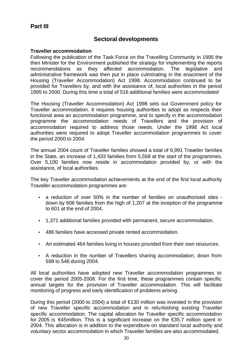# **Part III**

# **Sectoral developments**

### **Traveller accommodation**

Following the publication of the Task Force on the Travelling Community in 1995 the then Minister for the Environment published the strategy for implementing the reports recommendations as they affected accommodation. The legislative and administrative framework was then put in place culminating in the enactment of the Housing (Traveller Accommodation) Act 1998. Accommodation continued to be provided for Travellers by, and with the assistance of, local authorities in the period 1995 to 2000. During this time a total of 516 additional families were accommodated

The Housing (Traveller Accommodation) Act 1998 sets out Government policy for Traveller accommodation. It requires housing authorities to adopt as respects their functional area an accommodation programme, and to specify in the accommodation programme the accommodation needs of Travellers and the provision of accommodation required to address those needs. Under the 1998 Act local authorities were required to adopt Traveller accommodation programmes to cover the period 2000 to 2004.

The annual 2004 count of Traveller families showed a total of 6,991 Traveller families in the State, an increase of 1,433 families from 5,558 at the start of the programmes. Over 5,100 families now reside in accommodation provided by, or with the assistance, of local authorities.

The key Traveller accommodation achievements at the end of the first local authority Traveller accommodation programmes are:

- a reduction of over 50% in the number of families on unauthorised sites down by 606 families from the high of 1,207 at the inception of the programme to 601 at the end of 2004.
- 1,371 additional families provided with permanent, secure accommodation.
- 486 families have accessed private rented accommodation.
- An estimated 464 families living in houses provided from their own resources.
- A reduction in the number of Travellers sharing accommodation, down from 598 to 546 during 2004.

All local authorities have adopted new Traveller accommodation programmes to cover the period 2005-2008. For the first time, these programmes contain specific annual targets for the provision of Traveller accommodation. This will facilitate monitoring of progress and early identification of problems arising.

During this period (2000 to 2004) a total of €130 million was invested in the provision of new Traveller specific accommodation and in refurbishing existing Traveller specific accommodation. The capital allocation for Traveller specific accommodation for 2005 is €45million. This is a significant increase on the €35.7 million spent in 2004. This allocation is in addition to the expenditure on standard local authority and voluntary sector accommodation in which Traveller families are also accommodated.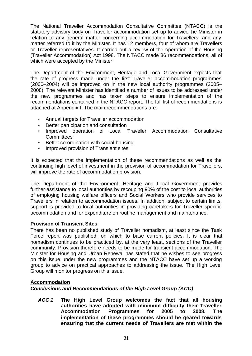The National Traveller Accommodation Consultative Committee (NTACC) is the statutory advisory body on Traveller accommodation set up to advice the Minister in relation to any general matter concerning accommodation for Travellers, and any matter referred to it by the Minister. It has 12 members, four of whom are Travellers or Traveller representatives. It carried out a review of the operation of the Housing (Traveller Accommodation) Act 1998. The NTACC made 36 recommendations, all of which were accepted by the Minister.

The Department of the Environment, Heritage and Local Government expects that the rate of progress made under the first Traveller accommodation programmes (2000–2004) will be improved on in the new local authority programmes (2005– 2008). The relevant Minister has identified a number of issues to be addressed under the new programmes and has taken steps to ensure implementation of the recommendations contained in the NTACC report. The full list of recommendations is attached at Appendix I. The main recommendations are:

- Annual targets for Traveller accommodation
- Better participation and consultation
- Improved operation of Local Traveller Accommodation Consultative **Committees**
- Better co-ordination with social housing
- Improved provision of Transient sites

It is expected that the implementation of these recommendations as well as the continuing high level of investment in the provision of accommodation for Travellers, will improve the rate of accommodation provision.

The Department of the Environment, Heritage and Local Government provides further assistance to local authorities by recouping 90% of the cost to local authorities of employing housing welfare officers and Social Workers who provide services to Travellers in relation to accommodation issues. In addition, subject to certain limits, support is provided to local authorities in providing caretakers for Traveller specific accommodation and for expenditure on routine management and maintenance.

# **Provision of Transient Sites**

There has been no published study of Traveller nomadism, at least since the Task Force report was published, on which to base current policies. It is clear that nomadism continues to be practiced by, at the very least, sections of the Traveller community. Provision therefore needs to be made for transient accommodation. The Minister for Housing and Urban Renewal has stated that he wishes to see progress on this issue under the new programmes and the NTACC have set up a working group to advice on practical approaches to addressing the issue. The High Level Group will monitor progress on this issue.

# **Accommodation**

*Conclusions and Recommendations of the High Level Group (ACC)* 

*ACC 1* **The High Level Group welcomes the fact that all housing authorities have adopted with minimum difficulty their Traveller Accommodation Programmes for 2005 to 2008. The implementation of these programmes should be geared towards ensuring that the current needs of Travellers are met within the**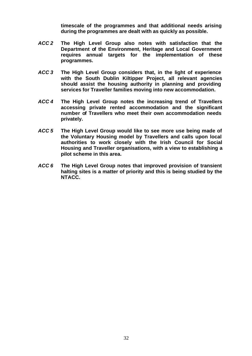**timescale of the programmes and that additional needs arising during the programmes are dealt with as quickly as possible.**

- *ACC 2* **The High Level Group also notes with satisfaction that the Department of the Environment, Heritage and Local Government requires annual targets for the implementation of these programmes.**
- *ACC 3* **The High Level Group considers that, in the light of experience with the South Dublin Kiltipper Project, all relevant agencies should assist the housing authority in planning and providing services for Traveller families moving into new accommodation.**
- *ACC 4* **The High Level Group notes the increasing trend of Travellers accessing private rented accommodation and the significant number of Travellers who meet their own accommodation needs privately.**
- *ACC 5* **The High Level Group would like to see more use being made of the Voluntary Housing model by Travellers and calls upon local authorities to work closely with the Irish Council for Social Housing and Traveller organisations, with a view to establishing a pilot scheme in this area.**
- *ACC 6* **The High Level Group notes that improved provision of transient halting sites is a matter of priority and this is being studied by the NTACC.**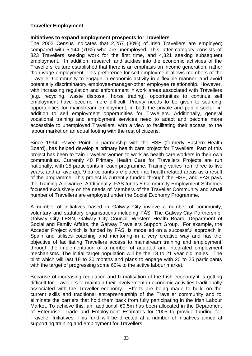### **Traveller Employment**

#### **Initiatives to expand employment prospects for Travellers**

The 2002 Census indicates that 2,257 (30%) of Irish Travellers are employed; compared with 5,144 (70%) who are unemployed. This latter category consists of 823 Travellers seeking work for the first time, and 4,321 seeking subsequent employment. In addition, research and studies into the economic activities of the Travellers' culture established that there is an emphasis on income generation, rather than wage employment. This preference for self-employment allows members of the Traveller Community to engage in economic activity in a flexible manner, and avoid potentially discriminatory employee-manager-other employee relationship. However, with increasing regulation and enforcement in work areas associated with Travellers [e.g. recycling, waste disposal, horse trading], opportunities to continue self employment have become more difficult. Priority needs to be given to sourcing opportunities for mainstream employment, in both the private and public sector, in addition to self employment opportunities for Travellers. Additionally, general vocational training and employment services need to adapt and become more accessible to unemployed Travellers, with a view to facilitating their access to the labour market on an equal footing with the rest of citizens.

Since 1994, Pavee Point, in partnership with the HSE (formerly Eastern Health Board), has helped develop a primary health care project for Travellers. Part of this project has been to train Traveller women to work as health care workers in their own communities. Currently 40 Primary Health Care for Travellers Projects are run nationally, with 15 participants in each programme. Training varies from three to five years, and an average 9 participants are placed into health related areas as a result of the programme. This project is currently funded through the HSE, and FAS pays the Training Allowance. Additionally, FAS funds 5 Community Employment Schemes focused exclusively on the needs of Members of the Traveller Community and small number of Travellers are employed under the Social Economy Programme.

A number of initiatives based in Galway City involve a number of community, voluntary and statutory organisations including FÁS, The Galway City Partnership, Galway City LESN, Galway City Council, Western Health Board, Department of Social and Family Affairs, the Galway Travellers Support Group. For example, the Acceder Project which is funded by FÁS, is modelled on a successful approach in Spain and utilises coaching and mentoring in a very creative way and has the objective of facilitating Travellers access to mainstream training and employment through the implementation of a number of adapted and integrated employment mechanisms. The initial target population will be the 18 to 21 year old males. The pilot which will last 18 to 20 months and plans to engage with 20 to 25 participants with the target of progressing some 60% to the active labour market.

Because of increasing regulation and formalisation of the Irish economy it is getting difficult for Travellers to maintain their involvement in economic activities traditionally associated with the Traveller economy. Efforts are being made to build on the current skills and traditional entrepreneurship of the Traveller community and to eliminate the barriers that hold them back from fully participating in the Irish Labour Market. To achieve this, an additional €0.5m has been allocated in the Department of Enterprise, Trade and Employment Estimates for 2005 to provide funding for Traveller Initiatives. This fund will be directed at a number of initiatives aimed at supporting training and employment for Travellers.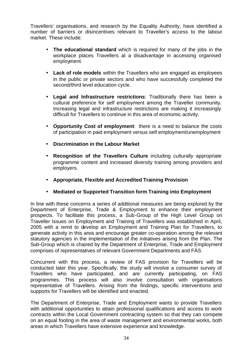Travellers' organisations, and research by the Equality Authority, have identified a number of barriers or disincentives relevant to Traveller's access to the labour market. These include:

- **The educational standard** which is required for many of the jobs in the workplace places Travellers at a disadvantage in accessing organised employment.
- **Lack of role models** within the Travellers who are engaged as employees in the public or private sectors and who have successfully completed the second/third level education cycle.
- **Legal and Infrastructure restrictions**: Traditionally there has been a cultural preference for self employment among the Traveller community. Increasing legal and infrastructure restrictions are making it increasingly difficult for Travellers to continue in this area of economic activity.
- **Opportunity Cost of employment**: there is a need to balance the costs of participation in paid employment versus self employment/unemployment
- **Discrimination in the Labour Market**
- **Recognition of the Travellers Culture** including culturally appropriate programme content and increased diversity training among providers and employers.
- **Appropriate, Flexible and Accredited Training Provision**
- **Mediated or Supported Transition form Training into Employment**

In line with these concerns a series of additional measures are being explored by the Department of Enterprise, Trade & Employment to enhance their employment prospects. To facilitate this process, a Sub-Group of the High Level Group on Traveller Issues on Employment and Training of Travellers was established in April, 2005 with a remit to develop an Employment and Training Plan for Travellers, to generate activity in this area and encourage greater co-operation among the relevant statutory agencies in the implementation of the initiatives arising from the Plan. The Sub-Group which is chaired by the Department of Enterprise, Trade and Employment comprises of representatives of relevant Government Departments and FÁS.

Concurrent with this process, a review of FAS provision for Travellers will be conducted later this year. Specifically, the study will involve a consumer survey of Travellers who have participated, and are currently participating, on FAS programmes. This process will also involve consultation with organisations representative of Travellers. Arising from the findings, specific interventions and supports for Travellers will be identified and enacted.

The Department of Enterprise, Trade and Employment wants to provide Travellers with additional opportunities to attain professional qualifications and access to work contracts within the Local Government contracting system so that they can compete on an equal footing in the area of waste management and environmental works, both areas in which Travellers have extensive experience and knowledge.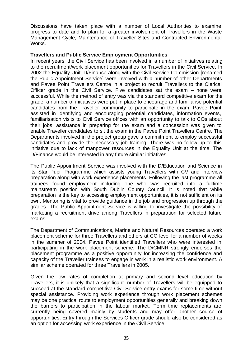Discussions have taken place with a number of Local Authorities to examine progress to date and to plan for a greater involvement of Travellers in the Waste Management Cycle, Maintenance of Traveller Sites and Contracted Environmental Works.

#### **Travellers and Public Service Employment Opportunities**

In recent years, the Civil Service has been involved in a number of initiatives relating to the recruitment/work placement opportunities for Travellers in the Civil Service. In 2002 the Equality Unit, D/Finance along with the Civil Service Commission [renamed the Public Appointment Service] were involved with a number of other Departments and Pavee Point Travellers Centre in a project to recruit Travellers to the Clerical Officer grade in the Civil Service. Five candidates sat the exam – none were successful. While the method of entry was via the standard competitive exam for the grade, a number of initiatives were put in place to encourage and familiarise potential candidates from the Traveller community to participate in the exam. Pavee Point assisted in identifying and encouraging potential candidates, information events, familiarisation visits to Civil Service offices with an opportunity to talk to COs about their jobs, assistance in preparing for the exam and a concession was given to enable Traveller candidates to sit the exam in the Pavee Point Travellers Centre. The Departments involved in the project group gave a commitment to employ successful candidates and provide the necessary job training. There was no follow up to this initiative due to lack of manpower resources in the Equality Unit at the time. The D/Finance would be interested in any future similar initiatives.

The Public Appointment Service was involved with the D/Education and Science in its Star Pupil Programme which assists young Travellers with CV and interview preparation along with work experience placements. Following the last programme all trainees found employment including one who was recruited into a fulltime mainstream position with South Dublin County Council. It is noted that while preparation is the key to accessing employment opportunities, it is not sufficient on its own. Mentoring is vital to provide guidance in the job and progression up through the grades. The Public Appointment Service is willing to investigate the possibility of marketing a recruitment drive among Travellers in preparation for selected future exams.

The Department of Communications, Marine and Natural Resources operated a work placement scheme for three Travellers and others at CO level for a number of weeks in the summer of 2004. Pavee Point identified Travellers who were interested in participating in the work placement scheme. The D/CMNR strongly endorses the placement programme as a positive opportunity for increasing the confidence and capacity of the Traveller trainees to engage in work in a realistic work environment. A similar scheme operated for three Travellers in 2005.

Given the low rates of completion at primary and second level education by Travellers, it is unlikely that a significant number of Travellers will be equipped to succeed at the standard competitive Civil Service entry exams for some time without special assistance. Providing work experience through work placement schemes may be one practical route to employment opportunities generally and breaking down the barriers to participation in the labour market. Term time replacements are currently being covered mainly by students and may offer another source of opportunities. Entry through the Services Officer grade should also be considered as an option for accessing work experience in the Civil Service.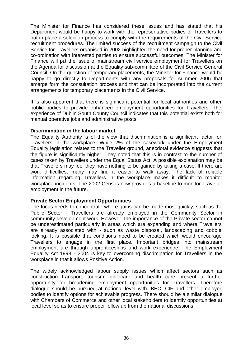The Minister for Finance has considered these issues and has stated that his Department would be happy to work with the representative bodies of Travellers to put in place a selection process to comply with the requirements of the Civil Service recruitment procedures. The limited success of the recruitment campaign to the Civil Service for Travellers organised in 2002 highlighted the need for proper planning and co-ordination with interested parties to ensure successful outcomes. The Minister for Finance will put the issue of mainstream civil service employment for Travellers on the Agenda for discussion at the Equality sub-committee of the Civil Service General Council. On the question of temporary placements, the Minister for Finance would be happy to go directly to Departments with any proposals for summer 2006 that emerge form the consultation process and that can be incorporated into the current arrangements for temporary placements in the Civil Service.

It is also apparent that there is significant potential for local authorities and other public bodies to provide enhanced employment opportunities for Travellers. The experience of Dublin South County Council indicates that this potential exists both for manual operative jobs and administrative posts.

#### **Discrimination in the labour market.**

The Equality Authority is of the view that discrimination is a significant factor for Travellers in the workplace. While 2% of the casework under the Employment Equality legislation relates to the Traveller ground, anecdotal evidence suggests that the figure is significantly higher. They noted that this is in contrast to the number of cases taken by Travellers under the Equal Status Act. A possible explanation may be that Travellers may feel they have nothing to be gained by taking a case. If there are work difficulties, many may find it easier to walk away. The lack of reliable information regarding Travellers in the workplace makes it difficult to monitor workplace incidents. The 2002 Census now provides a baseline to monitor Traveller employment in the future.

#### **Private Sector Employment Opportunities**

The focus needs to concentrate where gains can be made most quickly, such as the Public Sector - Travellers are already employed in the Community Sector in community development work. However, the importance of the Private sector cannot be underestimated particularly in areas which are expanding and where Travellers are already associated with - such as waste disposal, landscaping and cobble locking. It is possible that conditions need to be created which would encourage Travellers to engage in the first place. Important bridges into mainstream employment are through apprenticeships and work experience. The Employment Equality Act 1998 - 2004 is key to overcoming discrimination for Travellers in the workplace in that it allows Positive Action.

The widely acknowledged labour supply issues which affect sectors such as construction transport, tourism, childcare and health care present a further opportunity for broadening employment opportunities for Travellers. Therefore dialogue should be pursued at national level with IBEC, CIF and other employer bodies to identify options for achievable progress. There should be a similar dialogue with Chambers of Commerce and other local stakeholders to identify opportunities at local level so as to ensure proper follow up from the national discussions.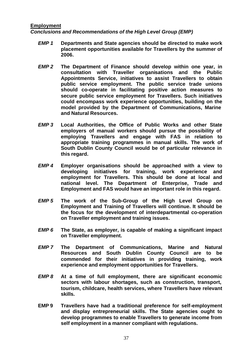### **Employment**

*Conclusions and Recommendations of the High Level Group (EMP)*

- *EMP 1* **Departments and State agencies should be directed to make work placement opportunities available for Travellers by the summer of 2006.**
- *EMP 2* **The Department of Finance should develop within one year, in consultation with Traveller organisations and the Public Appointments Service, initiatives to assist Travellers to obtain public service employment. The public service trade unions should co-operate in facilitating positive action measures to secure public service employment for Travellers. Such initiatives could encompass work experience opportunities, building on the model provided by the Department of Communications, Marine and Natural Resources.**
- *EMP 3* **Local Authorities, the Office of Public Works and other State employers of manual workers should pursue the possibility of employing Travellers and engage with FAS in relation to appropriate training programmes in manual skills. The work of South Dublin County Council would be of particular relevance in this regard.**
- *EMP 4* **Employer organisations should be approached with a view to developing initiatives for training, work experience and employment for Travellers. This should be done at local and national level. The Department of Enterprise, Trade and Employment and FAS would have an important role in this regard.**
- *EMP 5* **The work of the Sub-Group of the High Level Group on Employment and Training of Travellers will continue. It should be the focus for the development of interdepartmental co-operation on Traveller employment and training issues.**
- *EMP 6* **The State, as employer, is capable of making a significant impact on Traveller employment.**
- *EMP 7* **The Department of Communications, Marine and Natural Resources and South Dublin County Council are to be commended for their initiatives in providing training, work experience and employment opportunities for Travellers.**
- *EMP 8* **At a time of full employment, there are significant economic sectors with labour shortages, such as construction, transport, tourism, childcare, health services, where Travellers have relevant skills.**
- **EMP 9 Travellers have had a traditional preference for self-employment and display entrepreneurial skills. The State agencies ought to develop programmes to enable Travellers to generate income from self employment in a manner compliant with regulations.**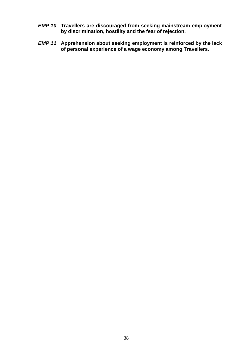- *EMP 10* **Travellers are discouraged from seeking mainstream employment by discrimination, hostility and the fear of rejection.**
- *EMP 11* **Apprehension about seeking employment is reinforced by the lack of personal experience of a wage economy among Travellers.**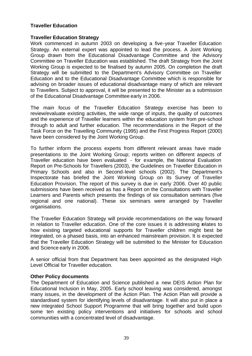## **Traveller Education**

### **Traveller Education Strategy**

Work commenced in autumn 2003 on developing a five-year Traveller Education Strategy. An external expert was appointed to lead the process. A Joint Working Group drawn from the Educational Disadvantage Committee and the Advisory Committee on Traveller Education was established. The draft Strategy from the Joint Working Group is expected to be finalised by autumn 2005. On completion the draft Strategy will be submitted to the Department's Advisory Committee on Traveller Education and to the Educational Disadvantage Committee which is responsible for advising on broader issues of educational disadvantage many of which are relevant to Travellers. Subject to approval, it will be presented to the Minister as a submission of the Educational Disadvantage Committee early in 2006.

The main focus of the Traveller Education Strategy exercise has been to review/evaluate existing activities, the wide range of inputs, the quality of outcomes and the experience of Traveller learners within the education system from pre-school through to adult and further education. The recommendations in the Report of the Task Force on the Travelling Community (1995) and the First Progress Report (2000) have been considered by the Joint Working Group.

To further inform the process experts from different relevant areas have made presentations to the Joint Working Group; reports written on different aspects of Traveller education have been evaluated - for example, the National Evaluation Report on Pre-Schools for Travellers (2003), the Guidelines on Traveller Education in Primary Schools and also in Second-level schools (2002). The Department's Inspectorate has briefed the Joint Working Group on its Survey of Traveller Education Provision. The report of this survey is due in early 2006. Over 40 public submissions have been received as has a Report on the Consultations with Traveller Learners and Parents which presents the findings of six consultation seminars (five regional and one national). These six seminars were arranged by Traveller organisations.

The Traveller Education Strategy will provide recommendations on the way forward in relation to Traveller education. One of the core issues it is addressing relates to how existing targeted educational supports for Traveller children might best be integrated, on a phased basis, into an enhanced mainstream provision. It is expected that the Traveller Education Strategy will be submitted to the Minister for Education and Science early in 2006.

A senior official from that Department has been appointed as the designated High Level Official for Traveller education.

### **Other Policy documents**

The Department of Education and Science published a new DEIS Action Plan for Educational Inclusion in May, 2005. Early school leaving was considered, amongst many issues, in the development of the Action Plan. The Action Plan will provide a standardised system for identifying levels of disadvantage. It will also put in place a new integrated School Support Programme that will bring together and build upon some ten existing policy interventions and initiatives for schools and school communities with a concentrated level of disadvantage.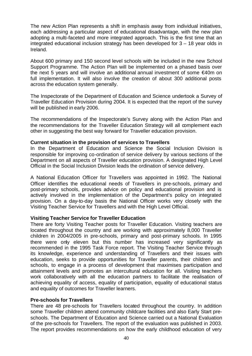The new Action Plan represents a shift in emphasis away from individual initiatives, each addressing a particular aspect of educational disadvantage, with the new plan adopting a multi-faceted and more integrated approach. This is the first time that an integrated educational inclusion strategy has been developed for 3 – 18 year olds in Ireland.

About 600 primary and 150 second level schools with be included in the new School Support Programme. The Action Plan will be implemented on a phased basis over the next 5 years and will involve an additional annual investment of some €40m on full implementation. It will also involve the creation of about 300 additional posts across the education system generally.

The Inspectorate of the Department of Education and Science undertook a Survey of Traveller Education Provision during 2004. It is expected that the report of the survey will be published in early 2006.

The recommendations of the Inspectorate's Survey along with the Action Plan and the recommendations for the Traveller Education Strategy will all complement each other in suggesting the best way forward for Traveller education provision.

## **Current situation in the provision of services to Travellers**

In the Department of Education and Science the Social Inclusion Division is responsible for improving co-ordination of service delivery by various sections of the Department on all aspects of Traveller education provision. A designated High Level Official in the Social Inclusion Division leads the ordination of service delivery.

A National Education Officer for Travellers was appointed in 1992. The National Officer identifies the educational needs of Travellers in pre-schools, primary and post-primary schools, provides advice on policy and educational provision and is actively involved in the implementation of the Department's policy on integrated provision. On a day-to-day basis the National Officer works very closely with the Visiting Teacher Service for Travellers and with the High Level Official.

## **Visiting Teacher Service for Traveller Education**

There are forty Visiting Teacher posts for Traveller Education. Visiting teachers are located throughout the country and are working with approximately 8,000 Traveller children in 2004/2005 in pre-schools, primary and post-primary schools. In 1995 there were only eleven but this number has increased very significantly as recommended in the 1995 Task Force report. The Visiting Teacher Service through its knowledge, experience and understanding of Travellers and their issues with education, seeks to provide opportunities for Traveller parents, their children and schools, to engage in a process of development that maximises participation and attainment levels and promotes an intercultural education for all. Visiting teachers work collaboratively with all the education partners to facilitate the realisation of achieving equality of access, equality of participation, equality of educational status and equality of outcomes for Traveller learners.

## **Pre-schools for Travellers**

There are 48 pre-schools for Travellers located throughout the country. In addition some Traveller children attend community childcare facilities and also Early Start preschools. The Department of Education and Science carried out a National Evaluation of the pre-schools for Travellers. The report of the evaluation was published in 2003. The report provides recommendations on how the early childhood education of very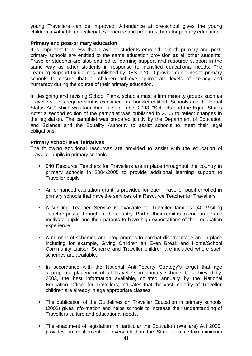young Travellers can be improved. Attendance at pre-school gives the young children a valuable educational experience and prepares them for primary education.

### **Primary and post-primary education**

It is important to stress that Traveller students enrolled in both primary and postprimary schools are entitled to the same education provision as all other students. Traveller students are also entitled to learning support and resource support in the same way as other students in response to identified educational needs. The Learning Support Guidelines published by DES in 2000 provide guidelines to primary schools to ensure that all children achieve appropriate levels of literacy and numeracy during the course of their primary education.

In designing and revising School Plans, schools must affirm minority groups such as Travellers. This requirement is explained in a booklet entitled "Schools and the Equal Status Act" which was launched in September 2003. "Schools and the Equal Status Acts" a second edition of the pamphlet was published in 2005 to reflect changes in the legislation. The pamphlet was prepared jointly by the Department of Education and Science and the Equality Authority to assist schools to meet their legal obligations.

### **Primary school level initiatives**

The following additional resources are provided to assist with the education of Traveller pupils in primary schools.

- 540 Resource Teachers for Travellers are in place throughout the country in primary schools in 2004/2005 to provide additional learning support to Traveller pupils
- An enhanced capitation grant is provided for each Traveller pupil enrolled in primary schools that have the services of a Resource Teacher for Travellers
- A Visiting Teacher Service is available to Traveller families (40 Visiting Teacher posts) throughout the country. Part of their remit is to encourage and motivate pupils and their parents to have high expectations of their education experience
- A number of schemes and programmes to combat disadvantage are in place including for example, Giving Children an Even Break and Home/School Community Liaison Scheme and Traveller children are included where such schemes are available.
- In accordance with the National Anti-Poverty Strategy's target that age appropriate placement of all Travellers in primary schools be achieved by 2003, the best information available, collated annually by the National Education Officer for Travellers, indicates that the vast majority of Traveller children are already in age appropriate classes.
- The publication of the Guidelines on Traveller Education in primary schools (2002) gives information and helps schools to increase their understanding of Travellers culture and educational needs.
- The enactment of legislation, in particular the Education (Welfare) Act 2000, provides an entitlement for every child in the State to a certain minimum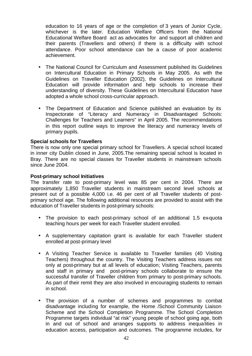education to 16 years of age or the completion of 3 years of Junior Cycle, whichever is the later. Education Welfare Officers from the National Educational Welfare Board act as advocates for and support all children and their parents (Travellers and others) if there is a difficulty with school attendance. Poor school attendance can be a cause of poor academic achievement.

- The National Council for Curriculum and Assessment published its Guidelines on Intercultural Education in Primary Schools in May 2005. As with the Guidelines on Traveller Education (2002), the Guidelines on Intercultural Education will provide information and help schools to increase their understanding of diversity. These Guidelines on Intercultural Education have adopted a whole school cross-curricular approach.
- The Department of Education and Science published an evaluation by its Inspectorate of "Literacy and Numeracy in Disadvantaged Schools: Challenges for Teachers and Learners" in April 2005. The recommendations in this report outline ways to improve the literacy and numeracy levels of primary pupils.

## **Special schools for Travellers**

There is now only one special primary school for Travellers. A special school located in inner city Dublin closed in June, 2005.The remaining special school is located in Bray. There are no special classes for Traveller students in mainstream schools since June 2004.

### **Post-primary school Initiatives**

The transfer rate to post-primary level was 85 per cent in 2004. There are approximately 1,850 Traveller students in mainstream second level schools at present out of a possible 4,000 i.e. 46 per cent of all Traveller students of postprimary school age. The following additional resources are provided to assist with the education of Traveller students in post-primary schools:

- The provision to each post-primary school of an additional 1.5 ex-quota teaching hours per week for each Traveller student enrolled.
- A supplementary capitation grant is available for each Traveller student enrolled at post-primary level
- A Visiting Teacher Service is available to Traveller families (40 Visiting Teachers) throughout the country. The Visiting Teachers address issues not only at post-primary but at all levels of education; Visiting Teachers, parents and staff in primary and post-primary schools collaborate to ensure the successful transfer of Traveller children from primary to post-primary schools. As part of their remit they are also involved in encouraging students to remain in school.
- The provision of a number of schemes and programmes to combat disadvantage including for example, the Home /School Community Liaison Scheme and the School Completion Programme. The School Completion Programme targets individual "at risk" young people of school going age, both in and out of school and arranges supports to address inequalities in education access, participation and outcomes. The programme includes, for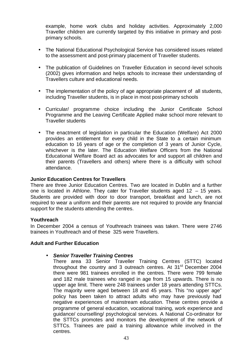example, home work clubs and holiday activities. Approximately 2,000 Traveller children are currently targeted by this initiative in primary and postprimary schools.

- The National Educational Psychological Service has considered issues related to the assessment and post-primary placement of Traveller students.
- The publication of Guidelines on Traveller Education in second-level schools (2002) gives information and helps schools to increase their understanding of Travellers culture and educational needs.
- The implementation of the policy of age appropriate placement of all students, including Traveller students, is in place in most post-primary schools
- Curricular/ programme choice including the Junior Certificate School Programme and the Leaving Certificate Applied make school more relevant to Traveller students
- The enactment of legislation in particular the Education (Welfare) Act 2000 provides an entitlement for every child in the State to a certain minimum education to 16 years of age or the completion of 3 years of Junior Cycle, whichever is the later. The Education Welfare Officers from the National Educational Welfare Board act as advocates for and support all children and their parents (Travellers and others) where there is a difficulty with school attendance.

### **Junior Education Centres for Travellers**

There are three Junior Education Centres. Two are located in Dublin and a further one is located in Athlone. They cater for Traveller students aged 12 – 15 years. Students are provided with door to door transport, breakfast and lunch, are not required to wear a uniform and their parents are not required to provide any financial support for the students attending the centres.

### **Youthreach**

In December 2004 a census of Youthreach trainees was taken. There were 2746 trainees in Youthreach and of these 325 were Travellers.

### **Adult and Further Education**

### • *Senior Traveller Training Centres*

There area 33 Senior Traveller Training Centres (STTC) located throughout the country and 3 outreach centres. At  $31<sup>st</sup>$  December 2004 there were 981 trainees enrolled in the centres. There were 799 female and 182 male trainees who ranged in age from 15 upwards. There is no upper age limit. There were 248 trainees under 18 years attending STTCs. The majority were aged between 18 and 45 years. This "no upper age" policy has been taken to attract adults who may have previously had negative experiences of mainstream education. These centres provide a programme of general education, vocational training, work experience and guidance/ counselling/ psychological services. A National Co-ordinator for the STTCs promotes and monitors the development of the network of STTCs. Trainees are paid a training allowance while involved in the centres.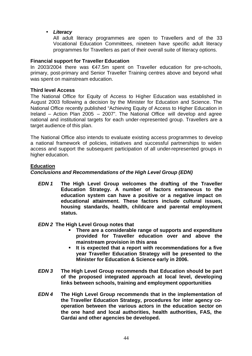• *Literacy*

All adult literacy programmes are open to Travellers and of the 33 Vocational Education Committees, nineteen have specific adult literacy programmes for Travellers as part of their overall suite of literacy options.

## **Financial support for Traveller Education**

In 2003/2004 there was €47.5m spent on Traveller education for pre-schools, primary, post-primary and Senior Traveller Training centres above and beyond what was spent on mainstream education.

## **Third level Access**

The National Office for Equity of Access to Higher Education was established in August 2003 following a decision by the Minister for Education and Science. The National Office recently published "Achieving Equity of Access to Higher Education in Ireland – Action Plan 2005 – 2007". The National Office will develop and agree national and institutional targets for each under-represented group. Travellers are a target audience of this plan.

The National Office also intends to evaluate existing access programmes to develop a national framework of policies, initiatives and successful partnerships to widen access and support the subsequent participation of all under-represented groups in higher education.

## **Education**

## *Conclusions and Recommendations of the High Level Group (EDN)*

*EDN 1* **The High Level Group welcomes the drafting of the Traveller Education Strategy. A number of factors extraneous to the education system can have a positive or a negative impact on educational attainment. These factors include cultural issues, housing standards, health, childcare and parental employment status.**

## *EDN 2* **The High Level Group notes that**

- ß **There are a considerable range of supports and expenditure provided for Traveller education over and above the mainstream provision in this area**
- **It is expected that a report with recommendations for a five year Traveller Education Strategy will be presented to the Minister for Education & Science early in 2006.**
- *EDN 3* **The High Level Group recommends that Education should be part of the proposed integrated approach at local level, developing links between schools, training and employment opportunities**
- *EDN 4* **The High Level Group recommends that in the implementation of the Traveller Education Strategy, procedures for inter agency cooperation between the various actors in the education sector on the one hand and local authorities, health authorities, FAS, the Gardai and other agencies be developed.**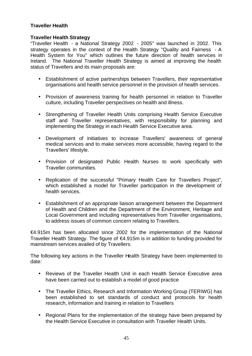# **Traveller Health**

### **Traveller Health Strategy**

"Traveller Health - a National Strategy 2002 - 2005" was launched in 2002. This strategy operates in the context of the Health Strategy "Quality and Fairness - A Health System for You" which outlines the future direction of health services in Ireland. The National Traveller Health Strategy is aimed at improving the health status of Travellers and its main proposals are:

- Establishment of active partnerships between Travellers, their representative organisations and health service personnel in the provision of health services.
- Provision of awareness training for health personnel in relation to Traveller culture, including Traveller perspectives on health and illness.
- Strengthening of Traveller Health Units comprising Health Service Executive staff and Traveller representatives, with responsibility for planning and implementing the Strategy in each Health Service Executive area.
- Development of initiatives to increase Travellers' awareness of general medical services and to make services more accessible, having regard to the Travellers' lifestyle.
- Provision of designated Public Health Nurses to work specifically with Traveller communities.
- Replication of the successful "Primary Health Care for Travellers Project", which established a model for Traveller participation in the development of health services.
- Establishment of an appropriate liaison arrangement between the Department of Health and Children and the Department of the Environment, Heritage and Local Government and including representatives from Traveller organisations, to address issues of common concern relating to Travellers.

€4.915m has been allocated since 2002 for the implementation of the National Traveller Health Strategy. The figure of €4.915m is in addition to funding provided for mainstream services availed of by Travellers.

The following key actions in the Traveller Health Strategy have been implemented to date:

- Reviews of the Traveller Health Unit in each Health Service Executive area have been carried out to establish a model of good practice
- The Traveller Ethics, Research and Information Working Group (TERIWG) has been established to set standards of conduct and protocols for health research, information and training in relation to Travellers
- Regional Plans for the implementation of the strategy have been prepared by the Health Service Executive in consultation with Traveller Health Units.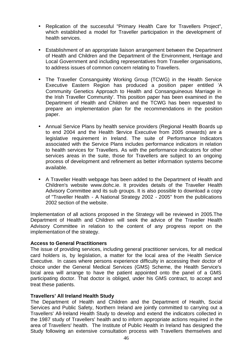- Replication of the successful "Primary Health Care for Travellers Project", which established a model for Traveller participation in the development of health services.
- Establishment of an appropriate liaison arrangement between the Department of Health and Children and the Department of the Environment, Heritage and Local Government and including representatives from Traveller organisations, to address issues of common concern relating to Travellers.
- The Traveller Consanguinity Working Group (TCWG) in the Health Service Executive Eastern Region has produced a position paper entitled 'A Community Genetics Approach to Health and Consanguineous Marriage in the Irish Traveller Community'. This position paper has been examined in the Department of Health and Children and the TCWG has been requested to prepare an implementation plan for the recommendations in the position paper.
- Annual Service Plans by health service providers (Regional Health Boards up to end 2004 and the Health Service Executive from 2005 onwards) are a legislative requirement in Ireland. The suite of Performance Indicators associated with the Service Plans includes performance indicators in relation to health services for Travellers. As with the performance indicators for other services areas in the suite, those for Travellers are subject to an ongoing process of development and refinement as better information systems become available.
- A Traveller Health webpage has been added to the Department of Health and Children's website www.dohc.ie. It provides details of the Traveller Health Advisory Committee and its sub groups. It is also possible to download a copy of "Traveller Health - A National Strategy 2002 - 2005" from the publications 2002 section of the website.

Implementation of all actions proposed in the Strategy will be reviewed in 2005.The Department of Health and Children will seek the advice of the Traveller Health Advisory Committee in relation to the content of any progress report on the implementation of the strategy.

## **Access to General Practitioners**

The issue of providing services, including general practitioner services, for all medical card holders is, by legislation, a matter for the local area of the Health Service Executive. In cases where persons experience difficulty in accessing their doctor of choice under the General Medical Services (GMS) Scheme, the Health Service's local area will arrange to have the patient appointed onto the panel of a GMS participating doctor. That doctor is obliged, under his GMS contract, to accept and treat these patients.

### **Travellers' All Ireland Health Study**

The Department of Health and Children and the Department of Health, Social Services and Public Safety, Northern Ireland are jointly committed to carrying out a Travellers' All-Ireland Health Study to develop and extend the indicators collected in the 1987 study of Travellers' health and to inform appropriate actions required in the area of Travellers' health. The Institute of Public Health in Ireland has designed the Study following an extensive consultation process with Travellers themselves and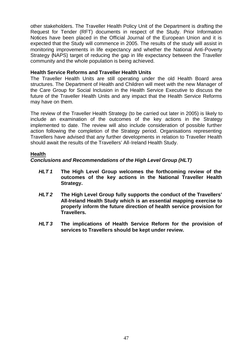other stakeholders. The Traveller Health Policy Unit of the Department is drafting the Request for Tender (RFT) documents in respect of the Study. Prior Information Notices have been placed in the Official Journal of the European Union and it is expected that the Study will commence in 2005. The results of the study will assist in monitoring improvements in life expectancy and whether the National Anti-Poverty Strategy (NAPS) target of reducing the gap in life expectancy between the Traveller community and the whole population is being achieved.

## **Health Service Reforms and Traveller Health Units**

The Traveller Health Units are still operating under the old Health Board area structures. The Department of Health and Children will meet with the new Manager of the Care Group for Social Inclusion in the Health Service Executive to discuss the future of the Traveller Health Units and any impact that the Health Service Reforms may have on them.

The review of the Traveller Health Strategy (to be carried out later in 2005) is likely to include an examination of the outcomes of the key actions in the Strategy implemented to date. The review will also include consideration of possible further action following the completion of the Strategy period. Organisations representing Travellers have advised that any further developments in relation to Traveller Health should await the results of the Travellers' All-Ireland Health Study.

# **Health**

*Conclusions and Recommendations of the High Level Group (HLT)*

- *HLT 1* **The High Level Group welcomes the forthcoming review of the outcomes of the key actions in the National Traveller Health Strategy.**
- *HLT 2* **The High Level Group fully supports the conduct of the Travellers' All-Ireland Health Study which is an essential mapping exercise to properly inform the future direction of health service provision for Travellers.**
- *HLT 3* **The implications of Health Service Reform for the provision of services to Travellers should be kept under review.**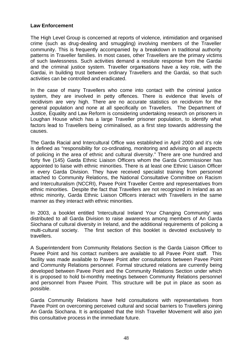## **Law Enforcement**

The High Level Group is concerned at reports of violence, intimidation and organised crime (such as drug-dealing and smuggling) involving members of the Traveller community. This is frequently accompanied by a breakdown in traditional authority patterns in Traveller families. In most cases, other Travellers are the primary victims of such lawlessness. Such activities demand a resolute response from the Gardai and the criminal justice system. Traveller organisations have a key role, with the Gardai, in building trust between ordinary Travellers and the Gardai, so that such activities can be controlled and eradicated.

In the case of many Travellers who come into contact with the criminal justice system, they are involved in petty offences. There is evidence that levels of recidivism are very high. There are no accurate statistics on recidivism for the general population and none at all specifically on Travellers. The Department of Justice, Equality and Law Reform is considering undertaking research on prisoners in Loughan House which has a large Traveller prisoner population, to identify what factors lead to Travellers being criminalised, as a first step towards addressing the causes.

The Garda Racial and Intercultural Office was established in April 2000 and it's role is defined as "responsibility for co-ordinating, monitoring and advising on all aspects of policing in the area of ethnic and cultural diversity." There are one hundred and forty five (145) Garda Ethnic Liaison Officers whom the Garda Commissioner has appointed to liaise with ethnic minorities. There is at least one Ethnic Liaison Officer in every Garda Division. They have received specialist training from personnel attached to Community Relations, the National Consultative Committee on Racism and Interculturalism (NCCRI), Pavee Point Traveller Centre and representatives from ethnic minorities. Despite the fact that Travellers are not recognized in Ireland as an ethnic minority, Garda Ethnic Liaison Officers interact with Travellers in the same manner as they interact with ethnic minorities.

In 2003, a booklet entitled 'Intercultural Ireland Your Changing Community' was distributed to all Garda Division to raise awareness among members of An Garda Siochana of cultural diversity in Ireland, and the additional requirements of policing a multi-cultural society. The first section of this booklet is devoted exclusively to travellers.

A Superintendent from Community Relations Section is the Garda Liaison Officer to Pavee Point and his contact numbers are available to all Pavee Point staff. This facility was made available to Pavee Point after consultations between Pavee Point and Community Relations personnel. Formal structured relations are currently being developed between Pavee Point and the Community Relations Section under which it is proposed to hold bi-monthly meetings between Community Relations personnel and personnel from Pavee Point. This structure will be put in place as soon as possible.

Garda Community Relations have held consultations with representatives from Pavee Point on overcoming perceived cultural and social barriers to Travellers joining An Garda Siochana. It is anticipated that the Irish Traveller Movement will also join this consultative process in the immediate future.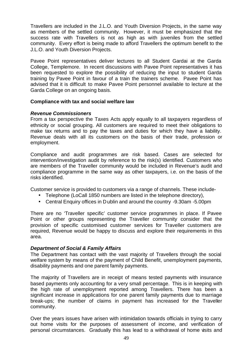Travellers are included in the J.L.O. and Youth Diversion Projects, in the same way as members of the settled community. However, it must be emphasized that the success rate with Travellers is not as high as with juveniles from the settled community. Every effort is being made to afford Travellers the optimum benefit to the J.L.O. and Youth Diversion Projects.

Pavee Point representatives deliver lectures to all Student Gardai at the Garda College, Templemore. In recent discussions with Pavee Point representatives it has been requested to explore the possibility of reducing the input to student Garda training by Pavee Point in favour of a train the trainers scheme. Pavee Point has advised that it is difficult to make Pavee Point personnel available to lecture at the Garda College on an ongoing basis.

## **Compliance with tax and social welfare law**

### *Revenue Commissioners*

From a tax perspective the Taxes Acts apply equally to all taxpayers regardless of ethnicity or social grouping. All customers are required to meet their obligations to make tax returns and to pay the taxes and duties for which they have a liability. Revenue deals with all its customers on the basis of their trade, profession or employment.

Compliance and audit programmes are risk based. Cases are selected for intervention/investigation audit by reference to the risk(s) identified. Customers who are members of the Traveller community would be included in Revenue's audit and compliance programme in the same way as other taxpayers, i.e. on the basis of the risks identified.

Customer service is provided to customers via a range of channels. These include-

- Telephone (LoCall 1850 numbers are listed in the telephone directory),
- Central Enquiry offices in Dublin and around the country -9.30am -5.00pm

There are no 'Traveller specific' customer service programmes in place. If Pavee Point or other groups representing the Traveller community consider that the provision of specific customised customer services for Traveller customers are required, Revenue would be happy to discuss and explore their requirements in this area.

## *Department of Social & Family Affairs*

The Department has contact with the vast majority of Travellers through the social welfare system by means of the payment of Child Benefit, unemployment payments, disability payments and one parent family payments.

The majority of Travellers are in receipt of means tested payments with insurance based payments only accounting for a very small percentage. This is in keeping with the high rate of unemployment reported among Travellers. There has been a significant increase in applications for one parent family payments due to marriage break-ups; the number of claims in payment has increased for the Traveller community.

Over the years issues have arisen with intimidation towards officials in trying to carry out home visits for the purposes of assessment of income, and verification of personal circumstances. Gradually this has lead to a withdrawal of home visits and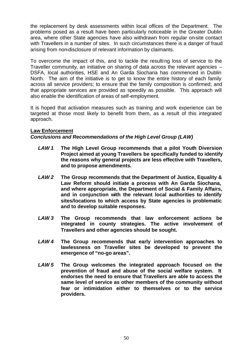the replacement by desk assessments within local offices of the Department. The problems posed as a result have been particularly noticeable in the Greater Dublin area, where other State agencies have also withdrawn from regular on-site contact with Travellers in a number of sites. In such circumstances there is a danger of fraud arising from non-disclosure of relevant information by claimants.

To overcome the impact of this, and to tackle the resulting loss of service to the Traveller community, an initiative on sharing of data across the relevant agencies – DSFA, local authorities, HSE and An Garda Siochana has commenced in Dublin North. The aim of the initiative is to get to know the entire history of each family across all service providers; to ensure that the family composition is confirmed; and that appropriate services are provided as speedily as possible. This approach will also enable the identification of areas of self-employment.

It is hoped that activation measures such as training and work experience can be targeted at those most likely to benefit from them, as a result of this integrated approach.

## **Law Enforcement**

# *Conclusions and Recommendations of the High Level Group (LAW)*

- *LAW 1* **The High Level Group recommends that a pilot Youth Diversion Project aimed at young Travellers be specifically funded to identify the reasons why general projects are less effective with Travellers, and to propose amendments.**
- *LAW 2* **The Group recommends that the Department of Justice, Equality & Law Reform should initiate a process with An Garda Siochana, and where appropriate, the Department of Social & Family Affairs, and in conjunction with the relevant local authorities to identify sites/locations to which access by State agencies is problematic and to develop suitable responses.**
- *LAW 3* **The Group recommends that law enforcement actions be integrated in county strategies. The active involvement of Travellers and other agencies should be sought.**
- *LAW 4* **The Group recommends that early intervention approaches to lawlessness on Traveller sites be developed to prevent the emergence of "no-go areas".**
- *LAW 5* **The Group welcomes the integrated approach focused on the prevention of fraud and abuse of the social welfare system. It endorses the need to ensure that Travellers are able to access the same level of service as other members of the community without fear or intimidation either to themselves or to the service providers.**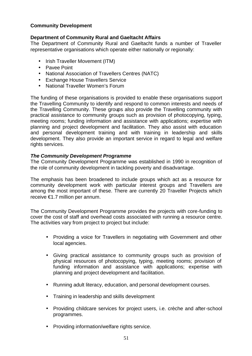# **Community Development**

# **Department of Community Rural and Gaeltacht Affairs**

The Department of Community Rural and Gaeltacht funds a number of Traveller representative organisations which operate either nationally or regionally:

- Irish Traveller Movement (ITM)
- Pavee Point
- National Association of Travellers Centres (NATC)
- Exchange House Travellers Service
- National Traveller Women's Forum

The funding of these organisations is provided to enable these organisations support the Travelling Community to identify and respond to common interests and needs of the Travelling Community. These groups also provide the Travelling community with practical assistance to community groups such as provision of photocopying, typing, meeting rooms; funding information and assistance with applications; expertise with planning and project development and facilitation. They also assist with education and personal development training and with training in leadership and skills development. They also provide an important service in regard to legal and welfare rights services.

### *The Community Development Programme*

The Community Development Programme was established in 1990 in recognition of the role of community development in tackling poverty and disadvantage.

The emphasis has been broadened to include groups which act as a resource for community development work with particular interest groups and Travellers are among the most important of these. There are currently 20 Traveller Projects which receive €1.7 million per annum.

The Community Development Programme provides the projects with core-funding to cover the cost of staff and overhead costs associated with running a resource centre. The activities vary from project to project but include:

- Providing a voice for Travellers in negotiating with Government and other local agencies.
- Giving practical assistance to community groups such as provision of physical resources of photocopying, typing, meeting rooms; provision of funding information and assistance with applications; expertise with planning and project development and facilitation.
- Running adult literacy, education, and personal development courses.
- Training in leadership and skills development
- Providing childcare services for project users, i.e. crèche and after-school programmes.
- Providing information/welfare rights service.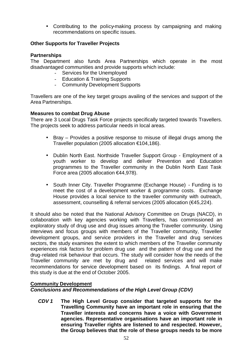• Contributing to the policy-making process by campaigning and making recommendations on specific issues.

# **Other Supports for Traveller Projects**

### **Partnerships**

The Department also funds Area Partnerships which operate in the most disadvantaged communities and provide supports which include:

- Services for the Unemployed
- Education & Training Supports
- Community Development Supports

Travellers are one of the key target groups availing of the services and support of the Area Partnerships.

### **Measures to combat Drug Abuse**

There are 3 Local Drugs Task Force projects specifically targeted towards Travellers. The projects seek to address particular needs in local areas.

- Bray Provides a positive response to misuse of illegal drugs among the Traveller population (2005 allocation €104,186).
- Dublin North East. Northside Traveller Support Group Employment of a youth worker to develop and deliver Prevention and Education programmes to the Traveller community in the Dublin North East Task Force area (2005 allocation €44,978).
- South Inner City. Traveller Programme (Exchange House) Funding is to meet the cost of a development worker & programme costs. Exchange House provides a local service to the traveller community with outreach, assessment, counselling & referral services (2005 allocation (€45,224).

It should also be noted that the National Advisory Committee on Drugs (NACD), in collaboration with key agencies working with Travellers, has commissioned an exploratory study of drug use and drug issues among the Traveller community. Using interviews and focus groups with members of the Traveller community, Traveller development groups, and service providers in the Traveller and drug services sectors, the study examines the extent to which members of the Traveller community experiences risk factors for problem drug use and the pattern of drug use and the drug-related risk behaviour that occurs. The study will consider how the needs of the Traveller community are met by drug and related services and will make recommendations for service development based on its findings. A final report of this study is due at the end of October 2005.

## **Community Development**

*Conclusions and Recommendations of the High Level Group (CDV)*

*CDV 1* **The High Level Group consider that targeted supports for the Travelling Community have an important role in ensuring that the Traveller interests and concerns have a voice with Government agencies. Representative organisations have an important role in ensuring Traveller rights are listened to and respected. However, the Group believes that the role of these groups needs to be more**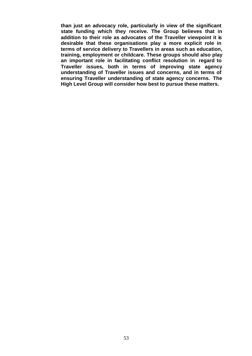**than just an advocacy role, particularly in view of the significant state funding which they receive. The Group believes that in addition to their role as advocates of the Traveller viewpoint it is desirable that these organisations play a more explicit role in terms of service delivery to Travellers in areas such as education, training, employment or childcare. These groups should also play an important role in facilitating conflict resolution in regard to Traveller issues, both in terms of improving state agency understanding of Traveller issues and concerns, and in terms of ensuring Traveller understanding of state agency concerns. The High Level Group will consider how best to pursue these matters.**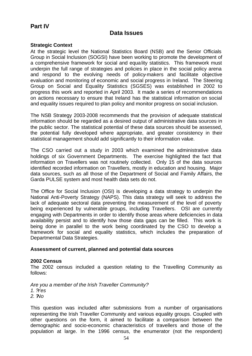# **Part IV**

# **Data Issues**

### **Strategic Context**

At the strategic level the National Statistics Board (NSB) and the Senior Officials Group in Social Inclusion (SOGSI) have been working to promote the development of a comprehensive framework for social and equality statistics. This framework must underpin the full range of strategies and policies in place in the social policy arena and respond to the evolving needs of policy-makers and facilitate objective evaluation and monitoring of economic and social progress in Ireland. The Steering Group on Social and Equality Statistics (SGSES) was established in 2002 to progress this work and reported in April 2003. It made a series of recommendations on actions necessary to ensure that Ireland has the statistical information on social and equality issues required to plan policy and monitor progress on social inclusion.

The NSB Strategy 2003-2008 recommends that the provision of adequate statistical information should be regarded as a desired output of administrative data sources in the public sector. The statistical potential of these data sources should be assessed, the potential fully developed where appropriate, and greater consistency in their statistical management should add significantly to their information value.

The CSO carried out a study in 2003 which examined the administrative data holdings of six Government Departments. The exercise highlighted the fact that information on Travellers was not routinely collected. Only 15 of the data sources identified recorded information on Travellers, mostly in education and housing. Major data sources, such as all those of the Department of Social and Family Affairs, the Garda PULSE system and most health data sets do not.

The Office for Social Inclusion (OSI) is developing a data strategy to underpin the National Anti-Poverty Strategy (NAPS). This data strategy will seek to address the lack of adequate sectoral data preventing the measurement of the level of poverty being experienced by vulnerable groups, including Travellers. OSI are currently engaging with Departments in order to identify those areas where deficiencies in data availability persist and to identify how those data gaps can be filled. This work is being done in parallel to the work being coordinated by the CSO to develop a framework for social and equality statistics, which includes the preparation of Departmental Data Strategies.

### **Assessment of current, planned and potential data sources**

### **2002 Census**

The 2002 census included a question relating to the Travelling Community as follows:

*Are you a member of the Irish Traveller Community?*

*1. ? Yes*

*2. ? No*

This question was included after submissions from a number of organisations representing the Irish Traveller Community and various equality groups. Coupled with other questions on the form, it aimed to facilitate a comparison between the demographic and socio-economic characteristics of travellers and those of the population at large. In the 1996 census, the enumerator (not the respondent)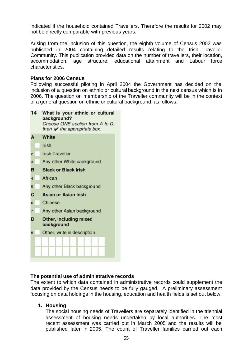indicated if the household contained Travellers. Therefore the results for 2002 may not be directly comparable with previous years.

Arising from the inclusion of this question, the eighth volume of Census 2002 was published in 2004 containing detailed results relating to the Irish Traveller Community. This publication provided data on the number of travellers, their location, accommodation, age structure, educational attainment and Labour force characteristics.

### **Plans for 2006 Census**

Following successful piloting in April 2004 the Government has decided on the inclusion of a question on ethnic or cultural background in the next census which is in 2006. The question on membership of the Traveller community will be in the context of a general question on ethnic or cultural background, as follows:

| 14             | What is your ethnic or cultural<br>background?<br>Choose ONE section from A to D,<br>then $\vee$ the appropriate box. |
|----------------|-----------------------------------------------------------------------------------------------------------------------|
| A              | White                                                                                                                 |
| 1              | Irish                                                                                                                 |
| $\overline{2}$ | <b>Irish Traveller</b>                                                                                                |
| 3              | Any other White background                                                                                            |
| в              | <b>Black or Black Irish</b>                                                                                           |
| $\overline{4}$ | African                                                                                                               |
| 5              | Any other Black background                                                                                            |
| С              | Asian or Asian Irish                                                                                                  |
| 6              | Chinese                                                                                                               |
| $\overline{7}$ | Any other Asian background                                                                                            |
| D              | Other, including mixed<br>background                                                                                  |
| 8              | Other, write in description                                                                                           |
|                |                                                                                                                       |
|                |                                                                                                                       |
|                |                                                                                                                       |

## **The potential use of administrative records**

The extent to which data contained in administrative records could supplement the data provided by the Census needs to be fully gauged. A preliminary assessment focusing on data holdings in the housing, education and health fields is set out below:

### **1. Housing**

The social housing needs of Travellers are separately identified in the triennial assessment of housing needs undertaken by local authorities. The most recent assessment was carried out in March 2005 and the results will be published later in 2005. The count of Traveller families carried out each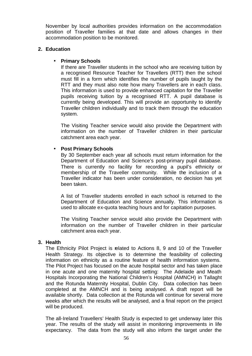November by local authorities provides information on the accommodation position of Traveller families at that date and allows changes in their accommodation position to be monitored.

### **2. Education**

### **· Primary Schools**

If there are Traveller students in the school who are receiving tuition by a recognised Resource Teacher for Travellers (RTT) then the school must fill in a form which identifies the number of pupils taught by the RTT and they must also note how many Travellers are in each class. This information is used to provide enhanced capitation for the Traveller pupils receiving tuition by a recognised RTT. A pupil database is currently being developed. This will provide an opportunity to identify Traveller children individually and to track them through the education system.

The Visiting Teacher service would also provide the Department with information on the number of Traveller children in their particular catchment area each year.

## • **Post Primary Schools**

By 30 September each year all schools must return information for the Department of Education and Science's post-primary pupil database. There is currently no facility for recording a pupil's ethnicity or membership of the Traveller community. While the inclusion of a Traveller indicator has been under consideration, no decision has yet been taken.

A list of Traveller students enrolled in each school is returned to the Department of Education and Science annually. This information is used to allocate ex-quota teaching hours and for capitation purposes.

The Visiting Teacher service would also provide the Department with information on the number of Traveller children in their particular catchment area each year.

## **3. Health**

The Ethnicity Pilot Project is related to Actions 8, 9 and 10 of the Traveller Health Strategy. Its objective is to determine the feasibility of collecting information on ethnicity as a routine feature of health information systems. The Pilot Project has focused on the acute hospital sector and has taken place in one acute and one maternity hospital setting: The Adelaide and Meath Hospitals Incorporating the National Children's Hospital (AMNCH) in Tallaght and the Rotunda Maternity Hospital, Dublin City. Data collection has been completed at the AMNCH and is being analysed. A draft report will be available shortly. Data collection at the Rotunda will continue for several more weeks after which the results will be analysed, and a final report on the project will be produced.

The all-Ireland Travellers' Health Study is expected to get underway later this year. The results of the study will assist in monitoring improvements in life expectancy. The data from the study will also inform the target under the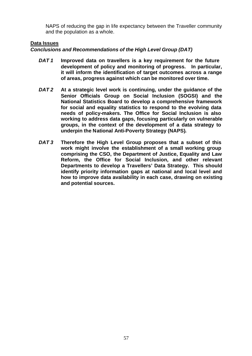NAPS of reducing the gap in life expectancy between the Traveller community and the population as a whole.

## **Data Issues**

### *Conclusions and Recommendations of the High Level Group (DAT)*

- *DAT 1* **Improved data on travellers is a key requirement for the future development of policy and monitoring of progress. In particular, it will inform the identification of target outcomes across a range of areas, progress against which can be monitored over time.**
- *DAT 2* **At a strategic level work is continuing, under the guidance of the Senior Officials Group on Social Inclusion (SOGSI) and the National Statistics Board to develop a comprehensive framework for social and equality statistics to respond to the evolving data needs of policy-makers. The Office for Social Inclusion is also working to address data gaps, focusing particularly on vulnerable groups, in the context of the development of a data strategy to underpin the National Anti-Poverty Strategy (NAPS).**
- *DAT 3* **Therefore the High Level Group proposes that a subset of this work might involve the establishment of a small working group comprising the CSO, the Department of Justice, Equality and Law Reform, the Office for Social Inclusion, and other relevant Departments to develop a Travellers' Data Strategy. This should identify priority information gaps at national and local level and how to improve data availability in each case, drawing on existing and potential sources.**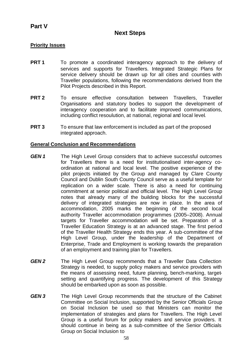# **Part V**

# **Next Steps**

## **Priority Issues**

- **PRT 1** To promote a coordinated interagency approach to the delivery of services and supports for Travellers. Integrated Strategic Plans for service delivery should be drawn up for all cities and counties with Traveller populations, following the recommendations derived from the Pilot Projects described in this Report.
- **PRT 2** To ensure effective consultation between Travellers, Traveller Organisations and statutory bodies to support the development of interagency cooperation and to facilitate improved communications, including conflict resoulution, at national, regional and local level.
- **PRT 3** To ensure that law enforcement is included as part of the proposed integrated approach.

## **General Conclusion and Recommendations**

- **GEN 1** The High Level Group considers that to achieve successful outcomes for Travellers there is a need for institutionalised inter-agency coordination at national and local level. The positive experience of the pilot projects initiated by the Group and managed by Clare County Council and Dublin South County Council serve as a useful template for replication on a wider scale. There is also a need for continuing commitment at senior political and official level. The High Level Group notes that already many of the building blocks for the successful delivery of integrated strategies are now in place. In the area of accommodation, 2005 marks the beginning of the second local authority Traveller accommodation programmes (2005–2008). Annual targets for Traveller accommodation will be set. Preparation of a Traveller Education Strategy is at an advanced stage. The first period of the Traveller Health Strategy ends this year. A sub-committee of the High Level Group, under the leadership of the Department of Enterprise, Trade and Employment is working towards the preparation of an employment and training plan for Travellers.
- *GEN 2* The High Level Group recommends that a Traveller Data Collection Strategy is needed, to supply policy makers and service providers with the means of assessing need, future planning, bench-marking, targetsetting and quantifying progress. The development of this Strategy should be embarked upon as soon as possible.
- *GEN 3* The High Level Group recommends that the structure of the Cabinet Committee on Social Inclusion, supported by the Senior Officials Group on Social Inclusion be used so that Ministers can monitor the implementation of strategies and plans for Travellers. The High Level Group is a useful forum for policy makers and service providers. It should continue in being as a sub-committee of the Senior Officials Group on Social Inclusion to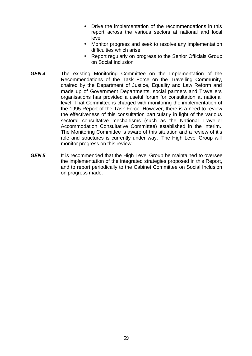- Drive the implementation of the recommendations in this report across the various sectors at national and local level
- Monitor progress and seek to resolve any implementation difficulties which arise
- Report regularly on progress to the Senior Officials Group on Social Inclusion
- *GEN 4* The existing Monitoring Committee on the Implementation of the Recommendations of the Task Force on the Travelling Community, chaired by the Department of Justice, Equality and Law Reform and made up of Government Departments, social partners and Travellers organisations has provided a useful forum for consultation at national level. That Committee is charged with monitoring the implementation of the 1995 Report of the Task Force. However, there is a need to review the effectiveness of this consultation particularly in light of the various sectoral consultative mechanisms (such as the National Traveller Accommodation Consultative Committee) established in the interim. The Monitoring Committee is aware of this situation and a review of it's role and structures is currently under way. The High Level Group will monitor progress on this review.
- **GEN 5** It is recommended that the High Level Group be maintained to oversee the implementation of the integrated strategies proposed in this Report, and to report periodically to the Cabinet Committee on Social Inclusion on progress made.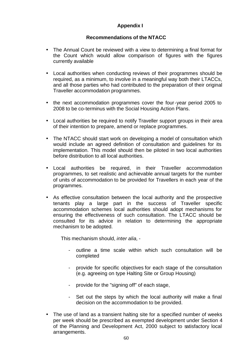# **Appendix I**

# **Recommendations of the NTACC**

- The Annual Count be reviewed with a view to determining a final format for the Count which would allow comparison of figures with the figures currently available
- **·** Local authorities when conducting reviews of their programmes should be required, as a minimum, to involve in a meaningful way both their LTACCs, and all those parties who had contributed to the preparation of their original Traveller accommodation programmes.
- **·** the next accommodation programmes cover the four-year period 2005 to 2008 to be co-terminus with the Social Housing Action Plans.
- **·** Local authorities be required to notify Traveller support groups in their area of their intention to prepare, amend or replace programmes.
- **·** The NTACC should start work on developing a model of consultation which would include an agreed definition of consultation and guidelines for its implementation. This model should then be piloted in two local authorities before distribution to all local authorities.
- **·** Local authorities be required, in their Traveller accommodation programmes, to set realistic and achievable annual targets for the number of units of accommodation to be provided for Travellers in each year of the programmes.
- **·** As effective consultation between the local authority and the prospective tenants play a large part in the success of Traveller specific accommodation schemes local authorities should adopt mechanisms for ensuring the effectiveness of such consultation. The LTACC should be consulted for its advice in relation to determining the appropriate mechanism to be adopted.

This mechanism should, *inter alia,* -

- outline a time scale within which such consultation will be completed
- provide for specific objectives for each stage of the consultation (e.g. agreeing on type Halting Site or Group Housing)
- provide for the "signing off" of each stage,
- Set out the steps by which the local authority will make a final decision on the accommodation to be provided.
- **·** The use of land as a transient halting site for a specified number of weeks per week should be prescribed as exempted development under Section 4 of the Planning and Development Act, 2000 subject to satisfactory local arrangements.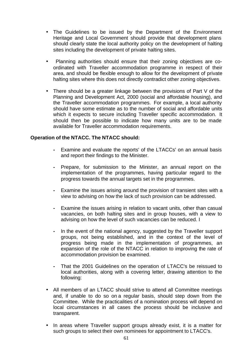- The Guidelines to be issued by the Department of the Environment Heritage and Local Government should provide that development plans should clearly state the local authority policy on the development of halting sites including the development of private halting sites.
- **·** Planning authorities should ensure that their zoning objectives are coordinated with Traveller accommodation programme in respect of their area, and should be flexible enough to allow for the development of private halting sites where this does not directly contradict other zoning objectives.
- **·** There should be a greater linkage between the provisions of Part V of the Planning and Development Act, 2000 (social and affordable housing), and the Traveller accommodation programmes. For example, a local authority should have some estimate as to the number of social and affordable units which it expects to secure including Traveller specific accommodation. It should then be possible to indicate how many units are to be made available for Traveller accommodation requirements.

## **Operation of the NTACC. The NTACC should:**

- **-** Examine and evaluate the reports' of the LTACCs' on an annual basis and report their findings to the Minister.
- **-** Prepare, for submission to the Minister, an annual report on the implementation of the programmes, having particular regard to the progress towards the annual targets set in the programmes.
- **-** Examine the issues arising around the provision of transient sites with a view to advising on how the lack of such provision can be addressed.
- **-** Examine the issues arising in relation to vacant units, other than casual vacancies, on both halting sites and in group houses, with a view to advising on how the level of such vacancies can be reduced. I
- **-** In the event of the national agency, suggested by the Traveller support groups, not being established, and in the context of the level of progress being made in the implementation of programmes, an expansion of the role of the NTACC in relation to improving the rate of accommodation provision be examined.
- **-** That the 2001 Guidelines on the operation of LTACC's be reissued to local authorities, along with a covering letter, drawing attention to the following:
- **·** All members of an LTACC should strive to attend all Committee meetings and, if unable to do so on a regular basis, should step down from the Committee. While the practicalities of a nomination process will depend on local circumstances in all cases the process should be inclusive and transparent.
- **·** In areas where Traveller support groups already exist, it is a matter for such groups to select their own nominees for appointment to LTACC's.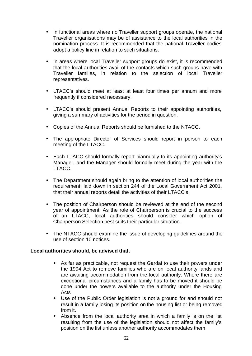- **·** In functional areas where no Traveller support groups operate, the national Traveller organisations may be of assistance to the local authorities in the nomination process. It is recommended that the national Traveller bodies adopt a policy line in relation to such situations.
- **·** In areas where local Traveller support groups do exist, it is recommended that the local authorities avail of the contacts which such groups have with Traveller families, in relation to the selection of local Traveller representatives.
- **·** LTACC's should meet at least at least four times per annum and more frequently if considered necessary.
- **·** LTACC's should present Annual Reports to their appointing authorities, giving a summary of activities for the period in question.
- **·** Copies of the Annual Reports should be furnished to the NTACC.
- **·** The appropriate Director of Services should report in person to each meeting of the LTACC.
- **·** Each LTACC should formally report biannually to its appointing authority's Manager, and the Manager should formally meet during the year with the LTACC.
- **·** The Department should again bring to the attention of local authorities the requirement, laid down in section 244 of the Local Government Act 2001, that their annual reports detail the activities of their LTACC's.
- **·** The position of Chairperson should be reviewed at the end of the second year of appointment. As the role of Chairperson is crucial to the success of an LTACC, local authorities should consider which option of Chairperson Selection best suits their particular situation.
- **·** The NTACC should examine the issue of developing guidelines around the use of section 10 notices.

## **Local authorities should, be advised that**:

- As far as practicable, not request the Gardai to use their powers under the 1994 Act to remove families who are on local authority lands and are awaiting accommodation from the local authority. Where there are exceptional circumstances and a family has to be moved it should be done under the powers available to the authority under the Housing Acts
- Use of the Public Order legislation is not a ground for and should not result in a family losing its position on the housing list or being removed from it.
- Absence from the local authority area in which a family is on the list resulting from the use of the legislation should not affect the family's position on the list unless another authority accommodates them.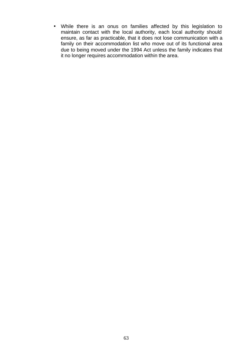• While there is an onus on families affected by this legislation to maintain contact with the local authority, each local authority should ensure, as far as practicable, that it does not lose communication with a family on their accommodation list who move out of its functional area due to being moved under the 1994 Act unless the family indicates that it no longer requires accommodation within the area.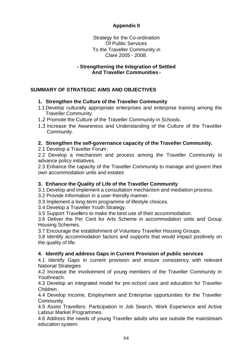# **Appendix II**

Strategy for the Co-ordination Of Public Services To the Traveller Community in Clare 2005 - 2008.

## **- Strengthening the Integration of Settled And Traveller Communities -**

# **SUMMARY OF STRATEGIC AIMS AND OBJECTIVES**

# **1. Strengthen the Culture of the Traveller Community**

- 1.1 Develop culturally appropriate enterprises and enterprise training among the Traveller Community.
- 1.2 Promote the Culture of the Traveller Community in Schools.
- 1.3 Increase the Awareness and Understanding of the Culture of the Traveller Community.

# **2. Strengthen the self-governance capacity of the Traveller Community.**

2.1 Develop a Traveller Forum.

2.2 Develop a mechanism and process among the Traveller Community to advance policy initiatives.

2.3 Enhance the capacity of the Traveller Community to manage and govern their own accommodation units and estates

# **3. Enhance the Quality of Life of the Traveller Community**

3.1 Develop and implement a consultation mechanism and mediation process.

- 3.2 Provide Information in a user-friendly manner.
- 3.3 Implement a long-term programme of lifestyle choices.

3.4 Develop a Traveller Youth Strategy.

3.5 Support Travellers to make the best use of their accommodation.

3.6 Deliver the Per Cent for Arts Scheme in accommodation units and Group Housing Schemes.

3.7 Encourage the establishment of Voluntary Traveller Housing Groups.

3.8 Identify accommodation factors and supports that would impact positively on the quality of life.

# **4. Identify and address Gaps in Current Provision of public services**

4.1 Identify Gaps in current provision and ensure consistency with relevant National Strategies

4.2 Increase the involvement of young members of the Traveller Community in Youthreach.

4.3 Develop an integrated model for pre-school care and education for Traveller Children.

4.4 Develop Income, Employment and Enterprise opportunities for the Traveller Community.

4.5 Assist Travellers. Participation in Job Search, Work Experience and Active Labour Market Programmes.

4.6 Address the needs of young Traveller adults who are outside the mainstream education system.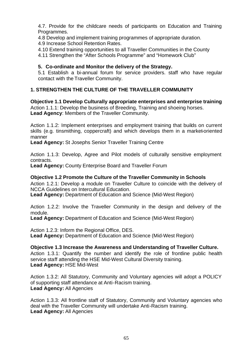4.7. Provide for the childcare needs of participants on Education and Training Programmes.

4.8 Develop and implement training programmes of appropriate duration.

4.9 Increase School Retention Rates.

4.10 Extend training opportunities to all Traveller Communities in the County

4.11 Strengthen the "After Schools Programme" and "Homework Club"

# **5. Co-ordinate and Monitor the delivery of the Strategy.**

5.1 Establish a bi-annual forum for service providers. staff who have regular contact with the Traveller Community.

# **1. STRENGTHEN THE CULTURE OF THE TRAVELLER COMMUNITY**

**Objective 1.1 Develop Culturally appropriate enterprises and enterprise training** Action 1.1.1: Develop the business of Breeding, Training and shoeing horses. **Lead Agency**: Members of the Traveller Community.

Action 1.1.2: Implement enterprises and employment training that builds on current skills (e.g. tinsmithing, coppercraft) and which develops them in a market-oriented manner

**Lead Agency:** St Josephs Senior Traveller Training Centre

Action 1.1.3: Develop, Agree and Pilot models of culturally sensitive employment contracts.

**Lead Agency:** County Enterprise Board and Traveller Forum

## **Objective 1.2 Promote the Culture of the Traveller Community in Schools**

Action 1.2.1: Develop a module on Traveller Culture to coincide with the delivery of NCCA Guidelines on Intercultural Education.

**Lead Agency:** Department of Education and Science (Mid-West Region)

Action 1.2.2: Involve the Traveller Community in the design and delivery of the module.

**Lead Agency:** Department of Education and Science (Mid-West Region)

Action 1.2.3: Inform the Regional Office, DES. **Lead Agency:** Department of Education and Science (Mid-West Region)

## **Objective 1.3 Increase the Awareness and Understanding of Traveller Culture.**

Action 1.3.1: Quantify the number and identify the role of frontline public health service staff attending the HSE Mid-West Cultural Diversity training. **Lead Agency:** HSE Mid-West

Action 1.3.2: All Statutory, Community and Voluntary agencies will adopt a POLICY of supporting staff attendance at Anti-Racism training. **Lead Agency:** All Agencies

Action 1.3.3: All frontline staff of Statutory, Community and Voluntary agencies who deal with the Traveller Community will undertake Anti-Racism training. **Lead Agency:** All Agencies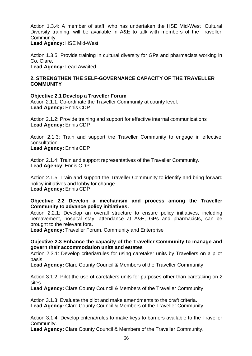Action 1.3.4: A member of staff, who has undertaken the HSE Mid-West .Cultural Diversity training, will be available in A&E to talk with members of the Traveller Community.

**Lead Agency:** HSE Mid-West

Action 1.3.5: Provide training in cultural diversity for GPs and pharmacists working in Co. Clare.

**Lead Agency:** Lead Awaited

## **2. STRENGTHEN THE SELF-GOVERNANCE CAPACITY OF THE TRAVELLER COMMUNITY**

# **Objective 2.1 Develop a Traveller Forum**

Action 2.1.1: Co-ordinate the Traveller Community at county level. **Lead Agency:** Ennis CDP

Action 2.1.2: Provide training and support for effective internal communications **Lead Agency:** Ennis CDP

Action 2.1.3: Train and support the Traveller Community to engage in effective consultation.

**Lead Agency:** Ennis CDP

Action 2.1.4: Train and support representatives of the Traveller Community. **Lead Agency**: Ennis CDP

Action 2.1.5: Train and support the Traveller Community to identify and bring forward policy initiatives and lobby for change. **Lead Agency:** Ennis CDP

# **Objective 2.2 Develop a mechanism and process among the Traveller Community to advance policy initiatives.**

Action 2.2.1: Develop an overall structure to ensure policy initiatives, including bereavement, hospital stay, attendance at A&E, GPs and pharmacists, can be brought to the relevant fora.

**Lead Agency:** Traveller Forum, Community and Enterprise

# **Objective 2.3 Enhance the capacity of the Traveller Community to manage and govern their accommodation units and estates**

Action 2.3.1: Develop criteria/rules for using caretaker units by Travellers on a pilot basis.

**Lead Agency:** Clare County Council & Members of the Traveller Community

Action 3.1.2: Pilot the use of caretakers units for purposes other than caretaking on 2 sites.

**Lead Agency:** Clare County Council & Members of the Traveller Community

Action 3.1.3: Evaluate the pilot and make amendments to the draft criteria. **Lead Agency:** Clare County Council & Members of the Traveller Community

Action 3.1.4: Develop criteria/rules to make keys to barriers available to the Traveller Community.

**Lead Agency:** Clare County Council & Members of the Traveller Community.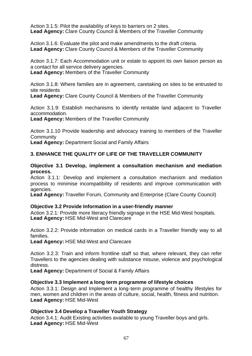Action 3.1.5: Pilot the availability of keys to barriers on 2 sites. **Lead Agency:** Clare County Council & Members of the Traveller Community

Action 3.1.6: Evaluate the pilot and make amendments to the draft criteria. **Lead Agency:** Clare County Council & Members of the Traveller Community

Action 3.1.7: Each Accommodation unit or estate to appoint its own liaison person as a contact for all service delivery agencies.

**Lead Agency:** Members of the Traveller Community

Action 3.1.8: Where families are in agreement, caretaking on sites to be entrusted to site residents

**Lead Agency:** Clare County Council & Members of the Traveller Community

Action 3.1.9: Establish mechanisms to identify rentable land adjacent to Traveller accommodation.

**Lead Agency:** Members of the Traveller Community

Action 3.1.10 Provide leadership and advocacy training to members of the Traveller **Community** 

**Lead Agency:** Department Social and Family Affairs

# **3. ENHANCE THE QUALITY OF LIFE OF THE TRAVELLER COMMUNITY**

### **Objective 3.1 Develop, implement a consultation mechanism and mediation process.**

Action 3.1.1: Develop and implement a consultation mechanism and mediation process to minimise incompatibility of residents and improve communication with agencies.

**Lead Agency:** Traveller Forum, Community and Enterprise (Clare County Council)

### **Objective 3.2 Provide Information in a user-friendly manner**

Action 3.2.1: Provide more literacy friendly signage in the HSE Mid-West hospitals. **Lead Agency:** HSE Mid-West and Clarecare

Action 3.2.2: Provide information on medical cards in a Traveller friendly way to all families.

**Lead Agency:** HSE Mid-West and Clarecare

Action 3.2.3: Train and inform frontline staff so that, where relevant, they can refer Travellers to the agencies dealing with substance misuse, violence and psychological distress.

**Lead Agency:** Department of Social & Family Affairs

### **Objective 3.3 Implement a long term programme of lifestyle choices**

Action 3.3.1: Design and Implement a long-term programme of healthy lifestyles for men, women and children in the areas of culture, social, health, fitness and nutrition. **Lead Agency:** HSE Mid-West

## **Objective 3.4 Develop a Traveller Youth Strategy**

Action 3.4.1: Audit Existing activities available to young Traveller boys and girls. **Lead Agency:** HSE Mid-West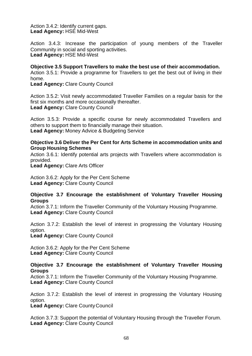Action 3.4.2: Identify current gaps. **Lead Agency:** HSE Mid-West

Action 3.4.3: Increase the participation of young members of the Traveller Community in social and sporting activities. **Lead Agency:** HSE Mid-West

**Objective 3.5 Support Travellers to make the best use of their accommodation.** Action 3.5.1: Provide a programme for Travellers to get the best out of living in their home.

**Lead Agency:** Clare County Council

Action 3.5.2: Visit newly accommodated Traveller Families on a regular basis for the first six months and more occasionally thereafter. **Lead Agency:** Clare County Council

Action 3.5.3: Provide a specific course for newly accommodated Travellers and others to support them to financially manage their situation. **Lead Agency:** Money Advice & Budgeting Service

### **Objective 3.6 Deliver the Per Cent for Arts Scheme in accommodation units and Group Housing Schemes**

Action 3.6.1: Identify potential arts projects with Travellers where accommodation is provided.

**Lead Agency:** Clare Arts Officer

Action 3.6.2: Apply for the Per Cent Scheme **Lead Agency:** Clare County Council

## **Objective 3.7 Encourage the establishment of Voluntary Traveller Housing Groups**

Action 3.7.1: Inform the Traveller Community of the Voluntary Housing Programme. **Lead Agency:** Clare County Council

Action 3.7.2: Establish the level of interest in progressing the Voluntary Housing option.

**Lead Agency:** Clare County Council

Action 3.6.2: Apply for the Per Cent Scheme **Lead Agency:** Clare County Council

### **Objective 3.7 Encourage the establishment of Voluntary Traveller Housing Groups**

Action 3.7.1: Inform the Traveller Community of the Voluntary Housing Programme. **Lead Agency:** Clare County Council

Action 3.7.2: Establish the level of interest in progressing the Voluntary Housing option.

**Lead Agency:** Clare County Council

Action 3.7.3: Support the potential of Voluntary Housing through the Traveller Forum. **Lead Agency:** Clare County Council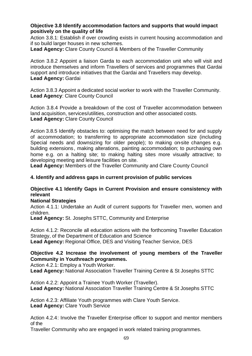## **Objective 3.8 Identify accommodation factors and supports that would impact positively on the quality of life**

Action 3.8.1: Establish if over crowding exists in current housing accommodation and if so build larger houses in new schemes.

**Lead Agency:** Clare County Council & Members of the Traveller Community

Action 3.8.2 Appoint a liaison Garda to each accommodation unit who will visit and introduce themselves and inform Travellers of services and programmes that Gardai support and introduce initiatives that the Gardai and Travellers may develop. **Lead Agency:** Gardai

Action 3.8.3 Appoint a dedicated social worker to work with the Traveller Community. **Lead Agency**: Clare County Council

Action 3.8.4 Provide a breakdown of the cost of Traveller accommodation between land acquisition, services/utilities, construction and other associated costs. **Lead Agency:** Clare County Council

Action 3.8.5 Identify obstacles to: optimising the match between need for and supply of accommodation; to transferring to appropriate accommodation size (including Special needs and downsizing for older people); to making on-site changes e.g. building extensions, making alterations, painting accommodation; to purchasing own home e.g. on a halting site; to making halting sites more visually attractive; to developing meeting and leisure facilities on site.

**Lead Agency:** Members of the Traveller Community and Clare County Council

### **4. Identify and address gaps in current provision of public services**

# **Objective 4.1 Identify Gaps in Current Provision and ensure consistency with relevant**

## **National Strategies**

Action 4.1.1: Undertake an Audit of current supports for Traveller men, women and children.

**Lead Agency:** St. Josephs STTC, Community and Enterprise

Action 4.1.2: Reconcile all education actions with the forthcoming Traveller Education Strategy, of the Department of Education and Science **Lead Agency:** Regional Office, DES and Visiting Teacher Service, DES

# **Objective 4.2 Increase the involvement of young members of the Traveller Community in Youthreach programmes.**

Action 4.2.1: Employ a Youth Worker.

**Lead Agency:** National Association Traveller Training Centre & St Josephs STTC

Action 4.2.2: Appoint a Trainee Youth Worker (Traveller). **Lead Agency:** National Association Traveller Training Centre & St Josephs STTC

Action 4.2.3: Affiliate Youth programmes with Clare Youth Service. **Lead Agency:** Clare Youth Service

Action 4.2.4: Involve the Traveller Enterprise officer to support and mentor members of the

Traveller Community who are engaged in work related training programmes.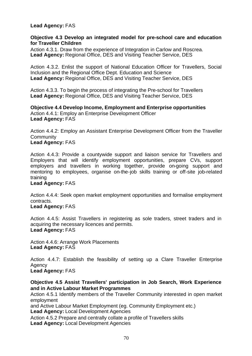## **Lead Agency:** FAS

### **Objective 4.3 Develop an integrated model for pre-school care and education for Traveller Children**

Action 4.3.1. Draw from the experience of Integration in Carlow and Roscrea. **Lead Agency:** Regional Office, DES and Visiting Teacher Service, DES

Action 4.3.2. Enlist the support of National Education Officer for Travellers, Social Inclusion and the Regional Office Dept. Education and Science **Lead Agency:** Regional Office, DES and Visiting Teacher Service, DES

Action 4.3.3. To begin the process of integrating the Pre-school for Travellers **Lead Agency:** Regional Office, DES and Visiting Teacher Service, DES

**Objective 4.4 Develop Income, Employment and Enterprise opportunities** Action 4.4.1: Employ an Enterprise Development Officer **Lead Agency:** FAS

Action 4.4.2: Employ an Assistant Enterprise Development Officer from the Traveller **Community Lead Agency:** FAS

Action 4.4.3: Provide a countywide support and liaison service for Travellers and Employers that will identify employment opportunities, prepare CVs, support employers and travellers in working together, provide on-going support and mentoring to employees, organise on-the-job skills training or off-site job-related training

### **Lead Agency:** FAS

Action 4.4.4: Seek open market employment opportunities and formalise employment contracts.

# **Lead Agency:** FAS

Action 4.4.5: Assist Travellers in registering as sole traders, street traders and in acquiring the necessary licences and permits. **Lead Agency:** FAS

Action 4.4.6: Arrange Work Placements Lead Agency: FAS

Action 4.4.7: Establish the feasibility of setting up a Clare Traveller Enterprise Agency

**Lead Agency:** FAS

**Objective 4.5 Assist Travellers' participation in Job Search, Work Experience and in Active Labour Market Programmes**

Action 4.5.1 Identify members of the Traveller Community interested in open market employment

and Active Labour Market Employment (eg. Community Employment etc.) **Lead Agency:** Local Development Agencies

Action 4.5.2 Prepare and centrally collate a profile of Travellers skills **Lead Agency:** Local Development Agencies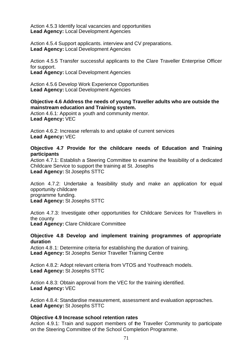Action 4.5.3 Identify local vacancies and opportunities **Lead Agency:** Local Development Agencies

Action 4.5.4 Support applicants. interview and CV preparations. **Lead Agency:** Local Development Agencies

Action 4.5.5 Transfer successful applicants to the Clare Traveller Enterprise Officer for support.

**Lead Agency:** Local Development Agencies

Action 4.5.6 Develop Work Experience Opportunities **Lead Agency:** Local Development Agencies

**Objective 4.6 Address the needs of young Traveller adults who are outside the mainstream education and Training system.**

Action 4.6.1: Appoint a youth and community mentor. **Lead Agency:** VEC

Action 4.6.2: Increase referrals to and uptake of current services **Lead Agency:** VEC

**Objective 4.7 Provide for the childcare needs of Education and Training participants**

Action 4.7.1: Establish a Steering Committee to examine the feasibility of a dedicated Childcare Service to support the training at St. Josephs **Lead Agency:** St Josephs STTC

Action 4.7.2: Undertake a feasibility study and make an application for equal opportunity childcare programme funding. **Lead Agency:** St Josephs STTC

Action 4.7.3: Investigate other opportunities for Childcare Services for Travellers in the county **Lead Agency:** Clare Childcare Committee

## **Objective 4.8 Develop and implement training programmes of appropriate duration**

Action 4.8.1: Determine criteria for establishing the duration of training. Lead Agency: St Josephs Senior Traveller Training Centre

Action 4.8.2: Adopt relevant criteria from VTOS and Youthreach models. **Lead Agency:** St Josephs STTC

Action 4.8.3: Obtain approval from the VEC for the training identified. **Lead Agency:** VEC

Action 4.8.4: Standardise measurement, assessment and evaluation approaches. **Lead Agency:** St Josephs STTC

## **Objective 4.9 Increase school retention rates**

Action 4.9.1: Train and support members of the Traveller Community to participate on the Steering Committee of the School Completion Programme.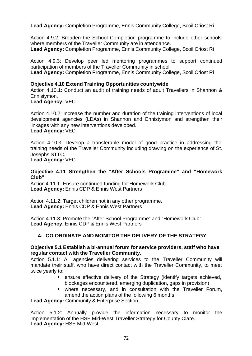**Lead Agency:** Completion Programme, Ennis Community College, Scoil Criost Ri

Action 4.9.2: Broaden the School Completion programme to include other schools where members of the Traveller Community are in attendance. **Lead Agency:** Completion Programme, Ennis Community College, Scoil Criost Ri

Action 4.9.3: Develop peer led mentoring programmes to support continued participation of members of the Traveller Community in school.

**Lead Agency:** Completion Programme, Ennis Community College, Scoil Criost Ri

### **Objective 4.10 Extend Training Opportunities countywide**

Action 4.10.1: Conduct an audit of training needs of adult Travellers in Shannon & Ennistymon.

**Lead Agency:** VEC

Action 4.10.2: Increase the number and duration of the training interventions of local development agencies (LDAs) in Shannon and Ennistymon and strengthen their linkages with any new interventions developed.

# **Lead Agency:** VEC

Action 4.10.3: Develop a transferable model of good practice in addressing the training needs of the Traveller Community including drawing on the experience of St. Josephs STTC.

**Lead Agency:** VEC

### **Objective 4.11 Strengthen the "After Schools Programme" and "Homework Club"**

Action 4.11.1: Ensure continued funding for Homework Club. **Lead Agency:** Ennis CDP & Ennis West Partners

Action 4.11.2: Target children not in any other programme. **Lead Agency:** Ennis CDP & Ennis West Partners

Action 4.11.3: Promote the "After School Programme" and "Homework Club". **Lead Agency**: Ennis CDP & Ennis West Partners

# **4. CO-ORDINATE AND MONITOR THE DELIVERY OF THE STRATEGY**

### **Objective 5.1 Establish a bi-annual forum for service providers. staff who have regular contact with the Traveller Community.**

Action 5.1.1: All agencies delivering services to the Traveller Community will mandate their staff, who have direct contact with the Traveller Community, to meet twice yearly to:

- ensure effective delivery of the Strategy (identify targets achieved, blockages encountered, emerging duplication, gaps in provision)
- where necessary, and in consultation with the Traveller Forum, amend the action plans of the following 6 months.

**Lead Agency:** Community & Enterprise Section.

Action 5.1.2: Annually provide the information necessary to monitor the implementation of the HSE Mid-West Traveller Strategy for County Clare. **Lead Agency:** HSE Mid-West